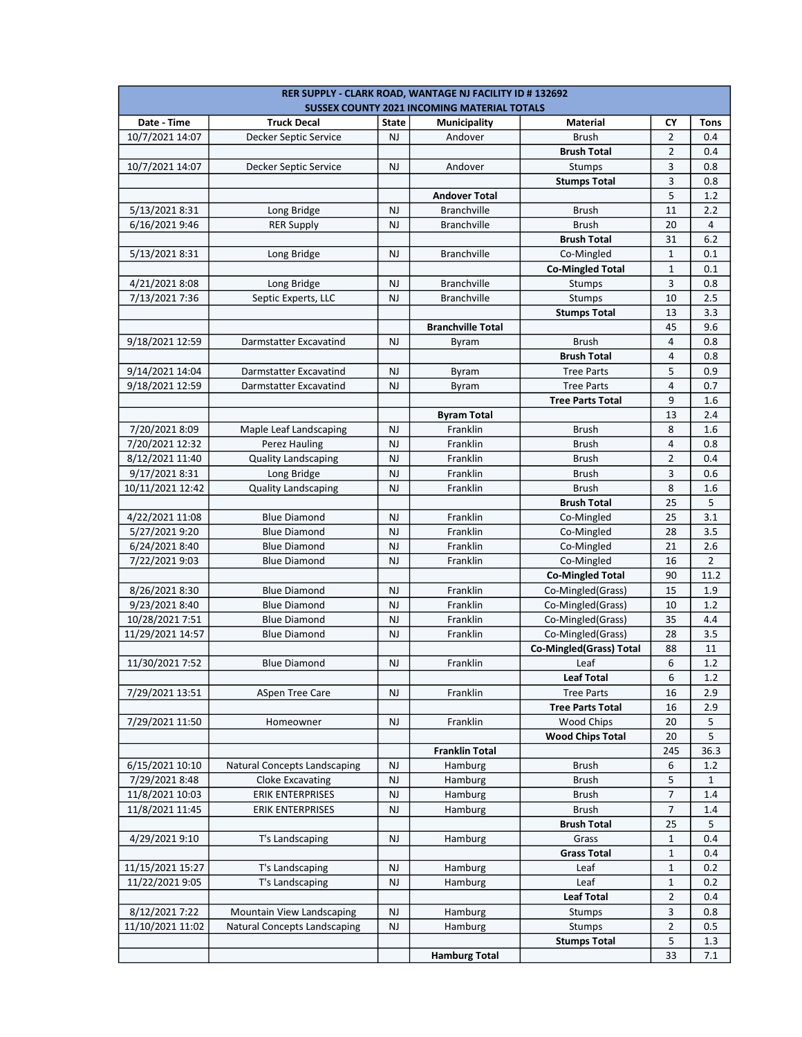| RER SUPPLY - CLARK ROAD, WANTAGE NJ FACILITY ID # 132692 |                                     |              |                                                    |                         |                |                |  |  |  |
|----------------------------------------------------------|-------------------------------------|--------------|----------------------------------------------------|-------------------------|----------------|----------------|--|--|--|
|                                                          |                                     |              | <b>SUSSEX COUNTY 2021 INCOMING MATERIAL TOTALS</b> |                         |                |                |  |  |  |
| Date - Time                                              | <b>Truck Decal</b>                  | <b>State</b> | Municipality                                       | <b>Material</b>         | CΥ             | <b>Tons</b>    |  |  |  |
| 10/7/2021 14:07                                          | Decker Septic Service               | <b>NJ</b>    | Andover                                            | <b>Brush</b>            | $\overline{2}$ | 0.4            |  |  |  |
|                                                          |                                     |              |                                                    | <b>Brush Total</b>      | $\overline{2}$ | 0.4            |  |  |  |
| 10/7/2021 14:07                                          | <b>Decker Septic Service</b>        | <b>NJ</b>    | Andover                                            | Stumps                  | 3              | 0.8            |  |  |  |
|                                                          |                                     |              |                                                    | <b>Stumps Total</b>     | 3              | 0.8            |  |  |  |
|                                                          |                                     |              | <b>Andover Total</b>                               |                         | 5              | 1.2            |  |  |  |
| 5/13/2021 8:31                                           | Long Bridge                         | <b>NJ</b>    | <b>Branchville</b>                                 | <b>Brush</b>            | 11             | 2.2            |  |  |  |
| 6/16/2021 9:46                                           | <b>RER Supply</b>                   | NJ           | <b>Branchville</b>                                 | <b>Brush</b>            | 20             | 4              |  |  |  |
|                                                          |                                     |              |                                                    | <b>Brush Total</b>      | 31             | 6.2            |  |  |  |
| 5/13/2021 8:31                                           | Long Bridge                         | <b>NJ</b>    | <b>Branchville</b>                                 | Co-Mingled              | $\mathbf 1$    | 0.1            |  |  |  |
|                                                          |                                     |              |                                                    | <b>Co-Mingled Total</b> | $\mathbf 1$    | 0.1            |  |  |  |
| 4/21/2021 8:08                                           | Long Bridge                         | <b>NJ</b>    | <b>Branchville</b>                                 | Stumps                  | 3              | 0.8            |  |  |  |
| 7/13/2021 7:36                                           | Septic Experts, LLC                 | <b>NJ</b>    | Branchville                                        | Stumps                  | 10             | 2.5            |  |  |  |
|                                                          |                                     |              |                                                    | <b>Stumps Total</b>     | 13             | 3.3            |  |  |  |
|                                                          |                                     |              | <b>Branchville Total</b>                           |                         | 45             | 9.6            |  |  |  |
| 9/18/2021 12:59                                          | Darmstatter Excavatind              | <b>NJ</b>    | Byram                                              | <b>Brush</b>            | 4              | 0.8            |  |  |  |
|                                                          |                                     |              |                                                    | <b>Brush Total</b>      | 4              | 0.8            |  |  |  |
| 9/14/2021 14:04                                          | Darmstatter Excavatind              | <b>NJ</b>    | Byram                                              | <b>Tree Parts</b>       | 5              | 0.9            |  |  |  |
| 9/18/2021 12:59                                          | Darmstatter Excavatind              | <b>NJ</b>    | Byram                                              | <b>Tree Parts</b>       | 4              | 0.7            |  |  |  |
|                                                          |                                     |              |                                                    | <b>Tree Parts Total</b> | 9              | 1.6            |  |  |  |
|                                                          |                                     |              | <b>Byram Total</b>                                 |                         | 13             | 2.4            |  |  |  |
| 7/20/2021 8:09                                           | Maple Leaf Landscaping              | NJ           | Franklin                                           | <b>Brush</b>            | 8              | 1.6            |  |  |  |
| 7/20/2021 12:32                                          | Perez Hauling                       | <b>NJ</b>    | Franklin                                           | <b>Brush</b>            | 4              | 0.8            |  |  |  |
| 8/12/2021 11:40                                          | <b>Quality Landscaping</b>          | <b>NJ</b>    | Franklin                                           | <b>Brush</b>            | $\overline{2}$ | 0.4            |  |  |  |
| 9/17/2021 8:31                                           | Long Bridge                         | <b>NJ</b>    | Franklin                                           | <b>Brush</b>            | 3              | 0.6            |  |  |  |
| 10/11/2021 12:42                                         | <b>Quality Landscaping</b>          | <b>NJ</b>    | Franklin                                           | <b>Brush</b>            | 8              | 1.6            |  |  |  |
|                                                          |                                     |              |                                                    | <b>Brush Total</b>      | 25             | 5              |  |  |  |
| 4/22/2021 11:08                                          | <b>Blue Diamond</b>                 | <b>NJ</b>    | Franklin                                           | Co-Mingled              | 25             | 3.1            |  |  |  |
| 5/27/2021 9:20                                           | <b>Blue Diamond</b>                 | NJ           | Franklin                                           | Co-Mingled              | 28             | 3.5            |  |  |  |
| 6/24/2021 8:40                                           | <b>Blue Diamond</b>                 | <b>NJ</b>    | Franklin                                           | Co-Mingled              | 21             | 2.6            |  |  |  |
| 7/22/2021 9:03                                           | <b>Blue Diamond</b>                 | <b>NJ</b>    | Franklin                                           | Co-Mingled              | 16             | $\overline{2}$ |  |  |  |
|                                                          |                                     |              |                                                    | <b>Co-Mingled Total</b> | 90             | 11.2           |  |  |  |
| 8/26/2021 8:30                                           | <b>Blue Diamond</b>                 | <b>NJ</b>    | Franklin                                           | Co-Mingled(Grass)       | 15             | 1.9            |  |  |  |
| 9/23/2021 8:40                                           | <b>Blue Diamond</b>                 | <b>NJ</b>    | Franklin                                           | Co-Mingled(Grass)       | 10             | 1.2            |  |  |  |
| 10/28/2021 7:51                                          | <b>Blue Diamond</b>                 | NJ           | Franklin                                           | Co-Mingled(Grass)       | 35             | 4.4            |  |  |  |
| 11/29/2021 14:57                                         | <b>Blue Diamond</b>                 | <b>NJ</b>    | Franklin                                           | Co-Mingled(Grass)       | 28             | 3.5            |  |  |  |
|                                                          |                                     |              |                                                    | Co-Mingled(Grass) Total | 88             | 11             |  |  |  |
| 11/30/2021 7:52                                          | <b>Blue Diamond</b>                 | <b>NJ</b>    | Franklin                                           | Leaf                    | 6              | 1.2            |  |  |  |
|                                                          |                                     |              |                                                    | <b>Leaf Total</b>       | 6              | 1.2            |  |  |  |
| 7/29/2021 13:51                                          | ASpen Tree Care                     | NJ           | Franklin                                           | <b>Tree Parts</b>       | 16             | 2.9            |  |  |  |
|                                                          |                                     |              |                                                    | <b>Tree Parts Total</b> | 16             | 2.9            |  |  |  |
| 7/29/2021 11:50                                          | Homeowner                           | <b>NJ</b>    | Franklin                                           | Wood Chips              | 20             | 5              |  |  |  |
|                                                          |                                     |              |                                                    | <b>Wood Chips Total</b> | 20             | 5              |  |  |  |
|                                                          |                                     |              | <b>Franklin Total</b>                              |                         | 245            | 36.3           |  |  |  |
| 6/15/2021 10:10                                          | <b>Natural Concepts Landscaping</b> | <b>NJ</b>    | Hamburg                                            | <b>Brush</b>            | 6              | 1.2            |  |  |  |
| 7/29/2021 8:48                                           | <b>Cloke Excavating</b>             | <b>NJ</b>    | Hamburg                                            | <b>Brush</b>            | 5              | $\mathbf{1}$   |  |  |  |
| 11/8/2021 10:03                                          | <b>ERIK ENTERPRISES</b>             | NJ           | Hamburg                                            | Brush                   | 7              | 1.4            |  |  |  |
| 11/8/2021 11:45                                          | <b>ERIK ENTERPRISES</b>             | NJ           | Hamburg                                            | <b>Brush</b>            | 7              | 1.4            |  |  |  |
|                                                          |                                     |              |                                                    | <b>Brush Total</b>      | 25             | 5              |  |  |  |
| 4/29/2021 9:10                                           | T's Landscaping                     | <b>NJ</b>    | Hamburg                                            | Grass                   | $\mathbf{1}$   | 0.4            |  |  |  |
|                                                          |                                     |              |                                                    | <b>Grass Total</b>      | $\mathbf{1}$   | 0.4            |  |  |  |
| 11/15/2021 15:27                                         | T's Landscaping                     | <b>NJ</b>    | Hamburg                                            | Leaf                    | 1              | 0.2            |  |  |  |
| 11/22/2021 9:05                                          | T's Landscaping                     | <b>NJ</b>    | Hamburg                                            | Leaf                    | 1              | 0.2            |  |  |  |
|                                                          |                                     |              |                                                    | <b>Leaf Total</b>       | $\overline{2}$ | 0.4            |  |  |  |
| 8/12/2021 7:22                                           | Mountain View Landscaping           | <b>NJ</b>    | Hamburg                                            | Stumps                  | 3              | 0.8            |  |  |  |
| 11/10/2021 11:02                                         | Natural Concepts Landscaping        | NJ           | Hamburg                                            | Stumps                  | 2              | 0.5            |  |  |  |
|                                                          |                                     |              |                                                    | <b>Stumps Total</b>     | 5              | 1.3            |  |  |  |
|                                                          |                                     |              | <b>Hamburg Total</b>                               |                         | 33             | 7.1            |  |  |  |
|                                                          |                                     |              |                                                    |                         |                |                |  |  |  |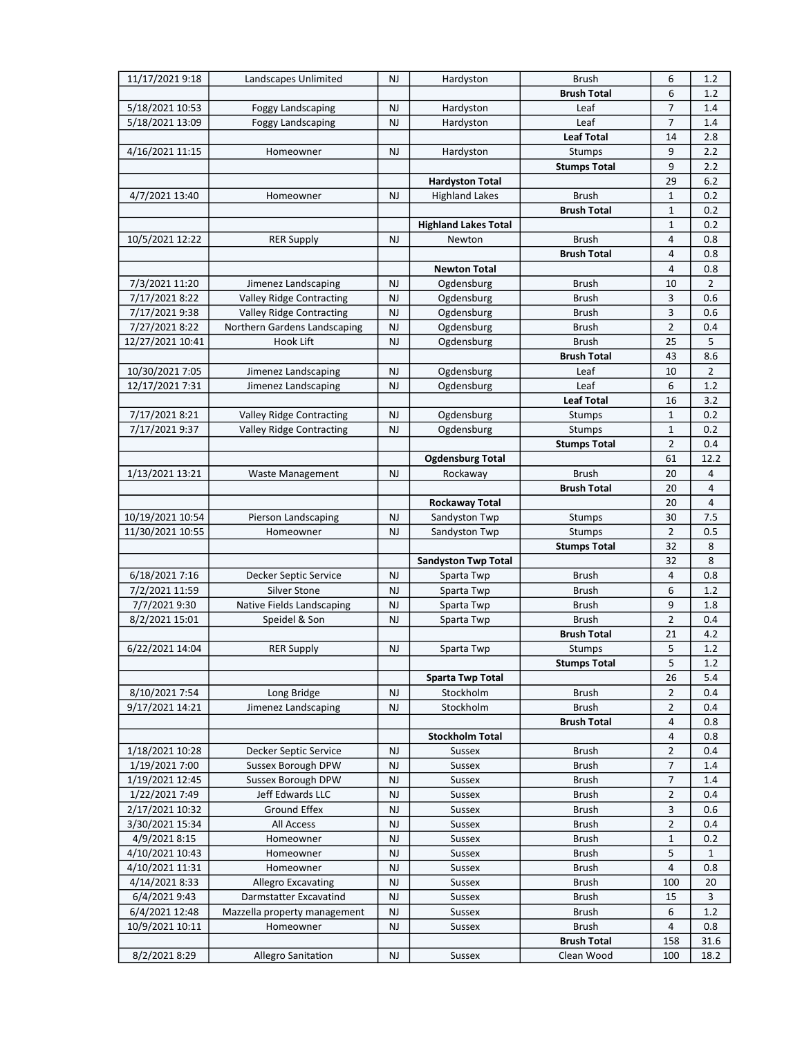| 11/17/2021 9:18  | Landscapes Unlimited            | <b>NJ</b> | Hardyston                   | <b>Brush</b>        | 6              | 1.2            |
|------------------|---------------------------------|-----------|-----------------------------|---------------------|----------------|----------------|
|                  |                                 |           |                             | <b>Brush Total</b>  | 6              | 1.2            |
| 5/18/2021 10:53  | <b>Foggy Landscaping</b>        | <b>NJ</b> | Hardyston                   | Leaf                | 7              | 1.4            |
| 5/18/2021 13:09  | <b>Foggy Landscaping</b>        | <b>NJ</b> | Hardyston                   | Leaf                | $\overline{7}$ | 1.4            |
|                  |                                 |           |                             | <b>Leaf Total</b>   | 14             | 2.8            |
| 4/16/2021 11:15  | Homeowner                       | <b>NJ</b> | Hardyston                   | Stumps              | 9              | 2.2            |
|                  |                                 |           |                             | <b>Stumps Total</b> | 9              | 2.2            |
|                  |                                 |           | <b>Hardyston Total</b>      |                     | 29             | 6.2            |
| 4/7/2021 13:40   | Homeowner                       | NJ        | <b>Highland Lakes</b>       | <b>Brush</b>        | 1              | 0.2            |
|                  |                                 |           |                             | <b>Brush Total</b>  | $\mathbf{1}$   | 0.2            |
|                  |                                 |           | <b>Highland Lakes Total</b> |                     | $\mathbf 1$    | 0.2            |
| 10/5/2021 12:22  | <b>RER Supply</b>               | <b>NJ</b> | Newton                      | <b>Brush</b>        | 4              | 0.8            |
|                  |                                 |           |                             | <b>Brush Total</b>  | 4              | 0.8            |
|                  |                                 |           | <b>Newton Total</b>         |                     | 4              | 0.8            |
| 7/3/2021 11:20   | Jimenez Landscaping             | <b>NJ</b> | Ogdensburg                  | <b>Brush</b>        | 10             | $\overline{2}$ |
| 7/17/2021 8:22   | Valley Ridge Contracting        | <b>NJ</b> | Ogdensburg                  | <b>Brush</b>        | 3              | 0.6            |
| 7/17/2021 9:38   | Valley Ridge Contracting        | <b>NJ</b> | Ogdensburg                  | <b>Brush</b>        | 3              | 0.6            |
| 7/27/2021 8:22   | Northern Gardens Landscaping    | <b>NJ</b> | Ogdensburg                  | <b>Brush</b>        | $\overline{2}$ | 0.4            |
| 12/27/2021 10:41 | Hook Lift                       | <b>NJ</b> |                             | <b>Brush</b>        | 25             | 5              |
|                  |                                 |           | Ogdensburg                  | <b>Brush Total</b>  | 43             |                |
|                  |                                 |           |                             |                     |                | 8.6            |
| 10/30/2021 7:05  | Jimenez Landscaping             | <b>NJ</b> | Ogdensburg                  | Leaf                | 10             | $\overline{2}$ |
| 12/17/2021 7:31  | Jimenez Landscaping             | <b>NJ</b> | Ogdensburg                  | Leaf                | 6              | 1.2            |
|                  |                                 |           |                             | <b>Leaf Total</b>   | 16             | 3.2            |
| 7/17/2021 8:21   | <b>Valley Ridge Contracting</b> | <b>NJ</b> | Ogdensburg                  | <b>Stumps</b>       | $\mathbf{1}$   | 0.2            |
| 7/17/2021 9:37   | <b>Valley Ridge Contracting</b> | <b>NJ</b> | Ogdensburg                  | Stumps              | $\mathbf{1}$   | 0.2            |
|                  |                                 |           |                             | <b>Stumps Total</b> | $\overline{2}$ | 0.4            |
|                  |                                 |           | <b>Ogdensburg Total</b>     |                     | 61             | 12.2           |
| 1/13/2021 13:21  | <b>Waste Management</b>         | <b>NJ</b> | Rockaway                    | <b>Brush</b>        | 20             | 4              |
|                  |                                 |           |                             | <b>Brush Total</b>  | 20             | 4              |
|                  |                                 |           | Rockaway Total              |                     | 20             | $\overline{4}$ |
| 10/19/2021 10:54 | Pierson Landscaping             | <b>NJ</b> | Sandyston Twp               | Stumps              | 30             | 7.5            |
| 11/30/2021 10:55 | Homeowner                       | NJ        | Sandyston Twp               | Stumps              | $\overline{2}$ | 0.5            |
|                  |                                 |           |                             | <b>Stumps Total</b> | 32             | 8              |
|                  |                                 |           | <b>Sandyston Twp Total</b>  |                     | 32             | 8              |
| 6/18/2021 7:16   | Decker Septic Service           | <b>NJ</b> | Sparta Twp                  | <b>Brush</b>        | 4              | 0.8            |
| 7/2/2021 11:59   | Silver Stone                    | NJ        | Sparta Twp                  | <b>Brush</b>        | 6              | 1.2            |
| 7/7/2021 9:30    | Native Fields Landscaping       | <b>NJ</b> | Sparta Twp                  | <b>Brush</b>        | 9              | 1.8            |
| 8/2/2021 15:01   | Speidel & Son                   | NJ        | Sparta Twp                  | <b>Brush</b>        | $\overline{2}$ | 0.4            |
|                  |                                 |           |                             | <b>Brush Total</b>  | 21             | 4.2            |
| 6/22/2021 14:04  | <b>RER Supply</b>               | NJ        | Sparta Twp                  | Stumps              | 5              | 1.2            |
|                  |                                 |           |                             | <b>Stumps Total</b> | 5              | 1.2            |
|                  |                                 |           | <b>Sparta Twp Total</b>     |                     | 26             | 5.4            |
| 8/10/2021 7:54   | Long Bridge                     | <b>NJ</b> | Stockholm                   | Brush               | 2              | 0.4            |
| 9/17/2021 14:21  | Jimenez Landscaping             | <b>NJ</b> | Stockholm                   | <b>Brush</b>        | 2              | 0.4            |
|                  |                                 |           |                             | <b>Brush Total</b>  | 4              | 0.8            |
|                  |                                 |           | <b>Stockholm Total</b>      |                     | 4              | 0.8            |
| 1/18/2021 10:28  | Decker Septic Service           | <b>NJ</b> | <b>Sussex</b>               | <b>Brush</b>        | $\overline{2}$ | 0.4            |
| 1/19/2021 7:00   | Sussex Borough DPW              | <b>NJ</b> | Sussex                      | <b>Brush</b>        | 7              | 1.4            |
| 1/19/2021 12:45  | Sussex Borough DPW              | <b>NJ</b> | Sussex                      | Brush               | 7              | 1.4            |
| 1/22/2021 7:49   | Jeff Edwards LLC                | NJ        | Sussex                      | Brush               | 2              | 0.4            |
| 2/17/2021 10:32  | Ground Effex                    | NJ        | Sussex                      | <b>Brush</b>        | 3              | 0.6            |
| 3/30/2021 15:34  | All Access                      | NJ        | Sussex                      | <b>Brush</b>        | 2              | 0.4            |
| 4/9/2021 8:15    | Homeowner                       | <b>NJ</b> | Sussex                      | <b>Brush</b>        | $\mathbf{1}$   | 0.2            |
| 4/10/2021 10:43  | Homeowner                       | <b>NJ</b> | Sussex                      | <b>Brush</b>        | 5              | $\mathbf{1}$   |
| 4/10/2021 11:31  | Homeowner                       | <b>NJ</b> | Sussex                      | <b>Brush</b>        | 4              | 0.8            |
| 4/14/2021 8:33   | Allegro Excavating              | <b>NJ</b> | Sussex                      | Brush               | 100            | 20             |
| 6/4/2021 9:43    | Darmstatter Excavatind          | NJ        | Sussex                      | <b>Brush</b>        | 15             | 3              |
| 6/4/2021 12:48   | Mazzella property management    | NJ        | Sussex                      | <b>Brush</b>        | 6              | 1.2            |
| 10/9/2021 10:11  | Homeowner                       | NJ        | Sussex                      | <b>Brush</b>        | 4              | 0.8            |
|                  |                                 |           |                             | <b>Brush Total</b>  | 158            | 31.6           |
| 8/2/2021 8:29    | Allegro Sanitation              | NJ        | Sussex                      | Clean Wood          | 100            | 18.2           |
|                  |                                 |           |                             |                     |                |                |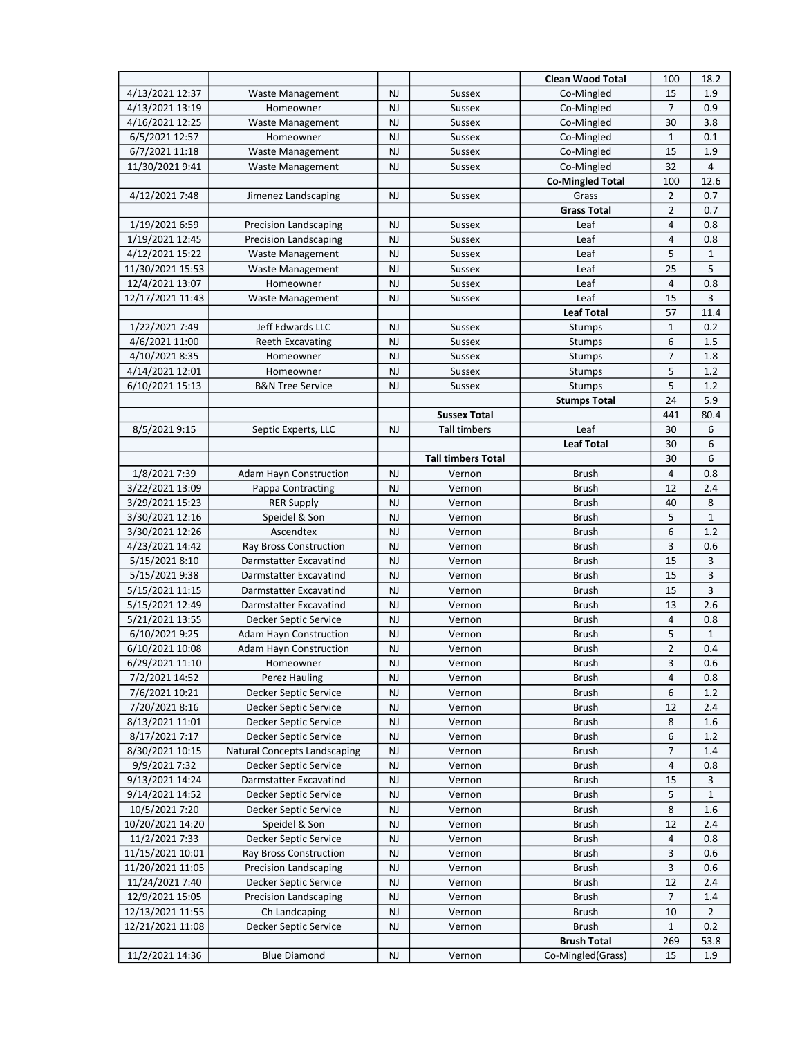|                  |                                     |           |                           | <b>Clean Wood Total</b> | 100            | 18.2           |
|------------------|-------------------------------------|-----------|---------------------------|-------------------------|----------------|----------------|
| 4/13/2021 12:37  | Waste Management                    | NJ        | Sussex                    | Co-Mingled              | 15             | 1.9            |
| 4/13/2021 13:19  | Homeowner                           | <b>NJ</b> | <b>Sussex</b>             | Co-Mingled              | $\overline{7}$ | 0.9            |
| 4/16/2021 12:25  | <b>Waste Management</b>             | NJ        | <b>Sussex</b>             | Co-Mingled              | 30             | 3.8            |
| 6/5/2021 12:57   | Homeowner                           | <b>NJ</b> | <b>Sussex</b>             | Co-Mingled              | $\mathbf 1$    | 0.1            |
| 6/7/2021 11:18   | Waste Management                    | NJ        | Sussex                    | Co-Mingled              | 15             | 1.9            |
| 11/30/2021 9:41  | <b>Waste Management</b>             | NJ        | <b>Sussex</b>             | Co-Mingled              | 32             | $\overline{4}$ |
|                  |                                     |           |                           | <b>Co-Mingled Total</b> | 100            | 12.6           |
| 4/12/2021 7:48   | Jimenez Landscaping                 | NJ        | Sussex                    | Grass                   | $\overline{2}$ | 0.7            |
|                  |                                     |           |                           | <b>Grass Total</b>      | $\overline{2}$ | 0.7            |
| 1/19/2021 6:59   | Precision Landscaping               | NJ        | Sussex                    | Leaf                    | 4              | 0.8            |
| 1/19/2021 12:45  | <b>Precision Landscaping</b>        | NJ        | <b>Sussex</b>             | Leaf                    | 4              | 0.8            |
| 4/12/2021 15:22  | Waste Management                    | NJ        | Sussex                    | Leaf                    | 5              | $\mathbf{1}$   |
| 11/30/2021 15:53 | <b>Waste Management</b>             | NJ        | <b>Sussex</b>             | Leaf                    | 25             | 5              |
| 12/4/2021 13:07  | Homeowner                           | NJ        | Sussex                    | Leaf                    | 4              | 0.8            |
| 12/17/2021 11:43 | Waste Management                    | NJ        | Sussex                    | Leaf                    | 15             | 3              |
|                  |                                     |           |                           | <b>Leaf Total</b>       | 57             | 11.4           |
| 1/22/2021 7:49   | Jeff Edwards LLC                    | NJ        | <b>Sussex</b>             | Stumps                  | $\mathbf 1$    | 0.2            |
| 4/6/2021 11:00   | <b>Reeth Excavating</b>             | NJ        | <b>Sussex</b>             | <b>Stumps</b>           | 6              | 1.5            |
| 4/10/2021 8:35   | Homeowner                           | NJ        | Sussex                    | Stumps                  | 7              | 1.8            |
| 4/14/2021 12:01  | Homeowner                           | NJ        | <b>Sussex</b>             | <b>Stumps</b>           | 5              | 1.2            |
| 6/10/2021 15:13  | <b>B&amp;N Tree Service</b>         | NJ        | Sussex                    | Stumps                  | 5              | 1.2            |
|                  |                                     |           |                           | <b>Stumps Total</b>     | 24             | 5.9            |
|                  |                                     |           | <b>Sussex Total</b>       |                         | 441            | 80.4           |
| 8/5/2021 9:15    | Septic Experts, LLC                 | NJ        | Tall timbers              | Leaf                    | 30             | 6              |
|                  |                                     |           |                           | <b>Leaf Total</b>       | 30             | 6              |
|                  |                                     |           | <b>Tall timbers Total</b> |                         | 30             | 6              |
| 1/8/2021 7:39    | <b>Adam Hayn Construction</b>       | NJ        | Vernon                    | <b>Brush</b>            | 4              | 0.8            |
| 3/22/2021 13:09  | Pappa Contracting                   | NJ        | Vernon                    | <b>Brush</b>            | 12             | 2.4            |
| 3/29/2021 15:23  | <b>RER Supply</b>                   | NJ        | Vernon                    | <b>Brush</b>            | 40             | 8              |
| 3/30/2021 12:16  | Speidel & Son                       | NJ        | Vernon                    | <b>Brush</b>            | 5              | $\mathbf{1}$   |
| 3/30/2021 12:26  | Ascendtex                           | <b>NJ</b> | Vernon                    | <b>Brush</b>            | 6              | 1.2            |
| 4/23/2021 14:42  | Ray Bross Construction              | NJ        | Vernon                    | <b>Brush</b>            | 3              | 0.6            |
| 5/15/2021 8:10   | Darmstatter Excavatind              | <b>NJ</b> | Vernon                    | <b>Brush</b>            | 15             | 3              |
| 5/15/2021 9:38   | Darmstatter Excavatind              | NJ        | Vernon                    | <b>Brush</b>            | 15             | 3              |
| 5/15/2021 11:15  | Darmstatter Excavatind              | NJ        | Vernon                    | <b>Brush</b>            | 15             | 3              |
| 5/15/2021 12:49  | Darmstatter Excavatind              | NJ        | Vernon                    | <b>Brush</b>            | 13             | 2.6            |
| 5/21/2021 13:55  | Decker Septic Service               | NJ        | Vernon                    | <b>Brush</b>            | 4              | 0.8            |
| 6/10/2021 9:25   | <b>Adam Hayn Construction</b>       | NJ        | Vernon                    | <b>Brush</b>            | 5              | $\mathbf{1}$   |
| 6/10/2021 10:08  | <b>Adam Hayn Construction</b>       | NJ        | Vernon                    | <b>Brush</b>            | $\overline{2}$ | 0.4            |
| 6/29/2021 11:10  | Homeowner                           | NJ        | Vernon                    | <b>Brush</b>            | 3              | 0.6            |
| 7/2/2021 14:52   | Perez Hauling                       | NJ        | Vernon                    | <b>Brush</b>            | 4              | 0.8            |
| 7/6/2021 10:21   | Decker Septic Service               | NJ        | Vernon                    | Brush                   | 6              | 1.2            |
| 7/20/2021 8:16   | Decker Septic Service               | NJ        | Vernon                    | <b>Brush</b>            | 12             | 2.4            |
| 8/13/2021 11:01  | Decker Septic Service               | NJ        | Vernon                    | Brush                   | 8              | 1.6            |
| 8/17/2021 7:17   | Decker Septic Service               | NJ        | Vernon                    | <b>Brush</b>            | 6              | 1.2            |
| 8/30/2021 10:15  | <b>Natural Concepts Landscaping</b> | NJ        | Vernon                    | <b>Brush</b>            | 7              | 1.4            |
| 9/9/2021 7:32    | Decker Septic Service               | NJ        | Vernon                    | <b>Brush</b>            | 4              | 0.8            |
| 9/13/2021 14:24  | Darmstatter Excavatind              | NJ        | Vernon                    | <b>Brush</b>            | 15             | 3              |
| 9/14/2021 14:52  | Decker Septic Service               | NJ        | Vernon                    | Brush                   | 5              | $\mathbf{1}$   |
| 10/5/2021 7:20   | Decker Septic Service               | NJ        | Vernon                    | <b>Brush</b>            | 8              | 1.6            |
| 10/20/2021 14:20 | Speidel & Son                       | NJ        | Vernon                    | <b>Brush</b>            | 12             | 2.4            |
| 11/2/2021 7:33   | Decker Septic Service               | NJ        | Vernon                    | <b>Brush</b>            | 4              | 0.8            |
| 11/15/2021 10:01 | Ray Bross Construction              | NJ        | Vernon                    | Brush                   | 3              | 0.6            |
| 11/20/2021 11:05 | Precision Landscaping               | <b>NJ</b> | Vernon                    | <b>Brush</b>            | 3              | 0.6            |
| 11/24/2021 7:40  | Decker Septic Service               | NJ        | Vernon                    | <b>Brush</b>            | 12             | 2.4            |
| 12/9/2021 15:05  | Precision Landscaping               | NJ        | Vernon                    | Brush                   | $\overline{7}$ | 1.4            |
| 12/13/2021 11:55 | Ch Landcaping                       | NJ        | Vernon                    | Brush                   | 10             | 2              |
| 12/21/2021 11:08 | Decker Septic Service               | NJ        | Vernon                    | <b>Brush</b>            | $\mathbf 1$    | 0.2            |
|                  |                                     |           |                           | <b>Brush Total</b>      | 269            | 53.8           |
| 11/2/2021 14:36  | <b>Blue Diamond</b>                 | NJ.       | Vernon                    | Co-Mingled(Grass)       | 15             | 1.9            |
|                  |                                     |           |                           |                         |                |                |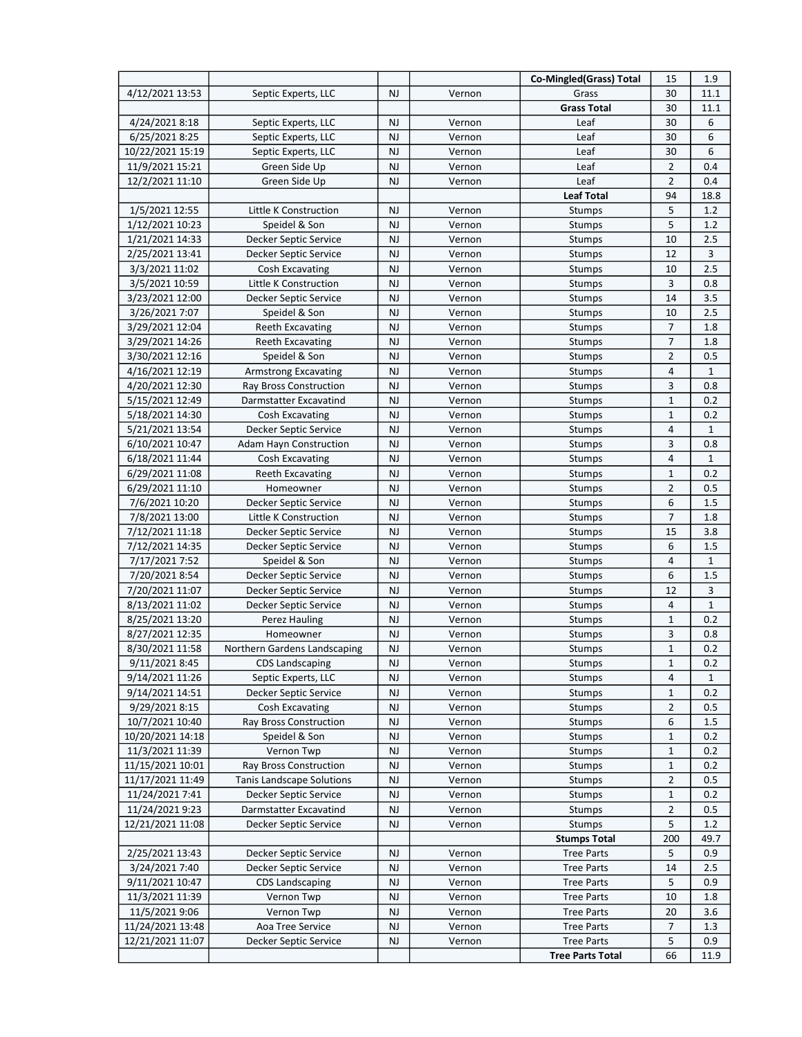|                  |                                  |           |        | Co-Mingled(Grass) Total | 15             | 1.9          |
|------------------|----------------------------------|-----------|--------|-------------------------|----------------|--------------|
| 4/12/2021 13:53  | Septic Experts, LLC              | <b>NJ</b> | Vernon | Grass                   | 30             | 11.1         |
|                  |                                  |           |        | <b>Grass Total</b>      | 30             | 11.1         |
| 4/24/2021 8:18   | Septic Experts, LLC              | <b>NJ</b> | Vernon | Leaf                    | 30             | 6            |
| 6/25/2021 8:25   | Septic Experts, LLC              | <b>NJ</b> | Vernon | Leaf                    | 30             | 6            |
| 10/22/2021 15:19 | Septic Experts, LLC              | <b>NJ</b> | Vernon | Leaf                    | 30             | 6            |
| 11/9/2021 15:21  | Green Side Up                    | NJ        | Vernon | Leaf                    | $\overline{2}$ | 0.4          |
| 12/2/2021 11:10  | Green Side Up                    | NJ        | Vernon | Leaf                    | $\overline{2}$ | 0.4          |
|                  |                                  |           |        | <b>Leaf Total</b>       | 94             | 18.8         |
| 1/5/2021 12:55   | Little K Construction            | <b>NJ</b> | Vernon | <b>Stumps</b>           | 5              | 1.2          |
| 1/12/2021 10:23  | Speidel & Son                    | <b>NJ</b> | Vernon | Stumps                  | 5              | 1.2          |
| 1/21/2021 14:33  | Decker Septic Service            | <b>NJ</b> | Vernon | Stumps                  | 10             | 2.5          |
| 2/25/2021 13:41  | Decker Septic Service            | NJ        | Vernon | Stumps                  | 12             | 3            |
| 3/3/2021 11:02   | Cosh Excavating                  | <b>NJ</b> | Vernon | Stumps                  | 10             | 2.5          |
| 3/5/2021 10:59   | Little K Construction            | NJ        | Vernon | Stumps                  | 3              | 0.8          |
| 3/23/2021 12:00  | Decker Septic Service            | <b>NJ</b> | Vernon | Stumps                  | 14             | 3.5          |
| 3/26/2021 7:07   | Speidel & Son                    | <b>NJ</b> | Vernon | Stumps                  | 10             | 2.5          |
| 3/29/2021 12:04  | <b>Reeth Excavating</b>          | <b>NJ</b> | Vernon |                         | 7              | 1.8          |
| 3/29/2021 14:26  | <b>Reeth Excavating</b>          | <b>NJ</b> | Vernon | Stumps                  | 7              | 1.8          |
|                  |                                  | NJ        |        | Stumps                  | $\overline{2}$ | 0.5          |
| 3/30/2021 12:16  | Speidel & Son                    |           | Vernon | Stumps                  |                |              |
| 4/16/2021 12:19  | <b>Armstrong Excavating</b>      | <b>NJ</b> | Vernon | Stumps                  | 4              | $\mathbf{1}$ |
| 4/20/2021 12:30  | Ray Bross Construction           | <b>NJ</b> | Vernon | Stumps                  | 3              | 0.8          |
| 5/15/2021 12:49  | Darmstatter Excavatind           | NJ        | Vernon | Stumps                  | $\mathbf{1}$   | 0.2          |
| 5/18/2021 14:30  | Cosh Excavating                  | <b>NJ</b> | Vernon | Stumps                  | $\mathbf 1$    | 0.2          |
| 5/21/2021 13:54  | Decker Septic Service            | <b>NJ</b> | Vernon | Stumps                  | 4              | $\mathbf{1}$ |
| 6/10/2021 10:47  | <b>Adam Hayn Construction</b>    | <b>NJ</b> | Vernon | Stumps                  | 3              | 0.8          |
| 6/18/2021 11:44  | Cosh Excavating                  | <b>NJ</b> | Vernon | Stumps                  | 4              | $\mathbf{1}$ |
| 6/29/2021 11:08  | <b>Reeth Excavating</b>          | <b>NJ</b> | Vernon | Stumps                  | $\mathbf 1$    | 0.2          |
| 6/29/2021 11:10  | Homeowner                        | NJ        | Vernon | Stumps                  | $\overline{2}$ | 0.5          |
| 7/6/2021 10:20   | Decker Septic Service            | NJ        | Vernon | Stumps                  | 6              | 1.5          |
| 7/8/2021 13:00   | Little K Construction            | NJ        | Vernon | Stumps                  | 7              | 1.8          |
| 7/12/2021 11:18  | Decker Septic Service            | <b>NJ</b> | Vernon | Stumps                  | 15             | 3.8          |
| 7/12/2021 14:35  | Decker Septic Service            | <b>NJ</b> | Vernon | Stumps                  | 6              | 1.5          |
| 7/17/2021 7:52   | Speidel & Son                    | <b>NJ</b> | Vernon | Stumps                  | 4              | $\mathbf{1}$ |
| 7/20/2021 8:54   | Decker Septic Service            | <b>NJ</b> | Vernon | Stumps                  | 6              | 1.5          |
| 7/20/2021 11:07  | Decker Septic Service            | NJ        | Vernon | Stumps                  | 12             | 3            |
| 8/13/2021 11:02  | Decker Septic Service            | <b>NJ</b> | Vernon | Stumps                  | 4              | $\mathbf{1}$ |
| 8/25/2021 13:20  | Perez Hauling                    | NJ        | Vernon | Stumps                  | 1              | 0.2          |
| 8/27/2021 12:35  | Homeowner                        | <b>NJ</b> | Vernon | Stumps                  | 3              | 0.8          |
| 8/30/2021 11:58  | Northern Gardens Landscaping     | <b>NJ</b> | Vernon | Stumps                  | $\mathbf{1}$   | 0.2          |
| 9/11/2021 8:45   | <b>CDS Landscaping</b>           | NJ        | Vernon | Stumps                  | 1              | 0.2          |
| 9/14/2021 11:26  | Septic Experts, LLC              | <b>NJ</b> | Vernon | Stumps                  | 4              | $\mathbf{1}$ |
| 9/14/2021 14:51  | Decker Septic Service            | NJ        | Vernon | Stumps                  | 1              | 0.2          |
| 9/29/2021 8:15   | Cosh Excavating                  | NJ        | Vernon | Stumps                  | $\overline{2}$ | 0.5          |
| 10/7/2021 10:40  | Ray Bross Construction           | NJ        | Vernon | Stumps                  | 6              | 1.5          |
| 10/20/2021 14:18 | Speidel & Son                    | NJ        | Vernon | Stumps                  | 1              | 0.2          |
| 11/3/2021 11:39  | Vernon Twp                       | <b>NJ</b> | Vernon | Stumps                  | $\mathbf{1}$   | 0.2          |
| 11/15/2021 10:01 | Ray Bross Construction           | <b>NJ</b> | Vernon | Stumps                  | 1              | 0.2          |
| 11/17/2021 11:49 | <b>Tanis Landscape Solutions</b> | <b>NJ</b> | Vernon | Stumps                  | 2              | 0.5          |
| 11/24/2021 7:41  | Decker Septic Service            | NJ        | Vernon | Stumps                  | 1              | 0.2          |
| 11/24/2021 9:23  | Darmstatter Excavatind           | NJ        | Vernon | Stumps                  | $\overline{2}$ | 0.5          |
| 12/21/2021 11:08 | Decker Septic Service            | NJ        | Vernon | Stumps                  | 5              | 1.2          |
|                  |                                  |           |        | <b>Stumps Total</b>     | 200            | 49.7         |
| 2/25/2021 13:43  | Decker Septic Service            | <b>NJ</b> | Vernon | <b>Tree Parts</b>       | 5              | 0.9          |
| 3/24/2021 7:40   | Decker Septic Service            | <b>NJ</b> | Vernon | <b>Tree Parts</b>       | 14             | 2.5          |
| 9/11/2021 10:47  | <b>CDS Landscaping</b>           | NJ        | Vernon | <b>Tree Parts</b>       | 5              | 0.9          |
| 11/3/2021 11:39  | Vernon Twp                       | NJ        | Vernon | <b>Tree Parts</b>       | 10             | 1.8          |
| 11/5/2021 9:06   | Vernon Twp                       | NJ        | Vernon | <b>Tree Parts</b>       | 20             | 3.6          |
| 11/24/2021 13:48 | Aoa Tree Service                 | NJ        | Vernon | <b>Tree Parts</b>       | 7              | 1.3          |
| 12/21/2021 11:07 | Decker Septic Service            | NJ        | Vernon | <b>Tree Parts</b>       | 5              | 0.9          |
|                  |                                  |           |        | <b>Tree Parts Total</b> | 66             | 11.9         |
|                  |                                  |           |        |                         |                |              |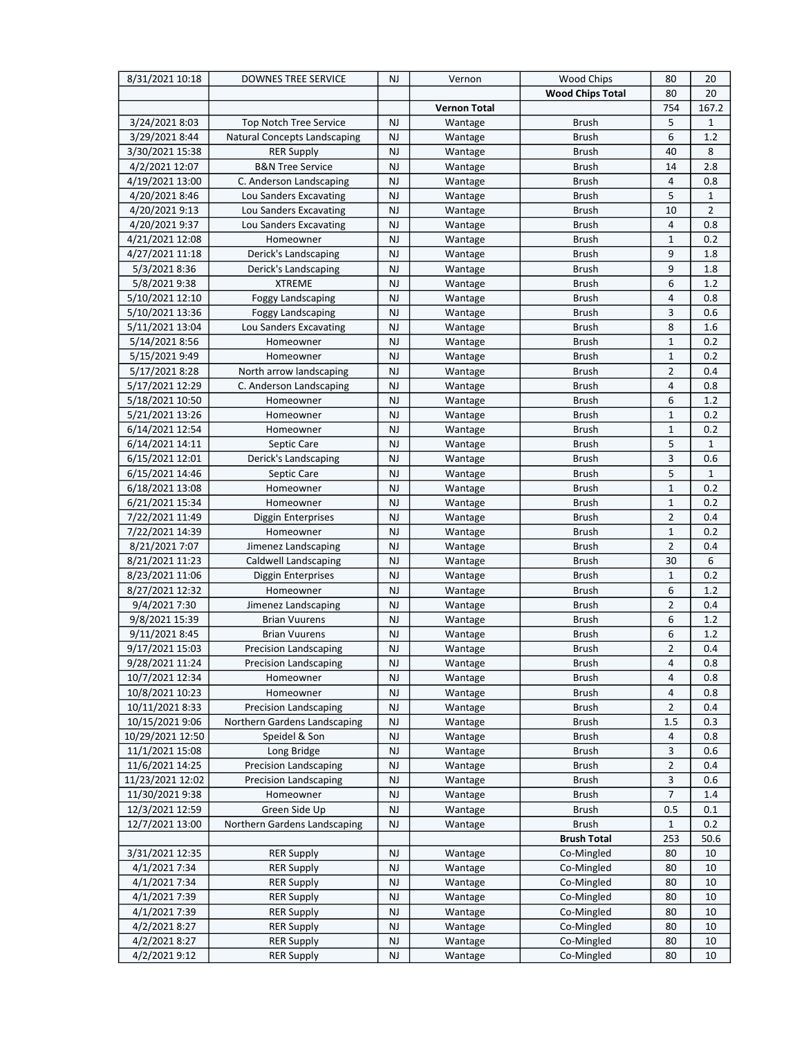| <b>Wood Chips Total</b><br>80<br>20<br><b>Vernon Total</b><br>754<br>167.2<br>5<br>3/24/2021 8:03<br><b>NJ</b><br>$\mathbf{1}$<br><b>Top Notch Tree Service</b><br><b>Brush</b><br>Wantage<br>3/29/2021 8:44<br><b>NJ</b><br>6<br>1.2<br><b>Natural Concepts Landscaping</b><br><b>Brush</b><br>Wantage<br><b>NJ</b><br>40<br>8<br>3/30/2021 15:38<br><b>RER Supply</b><br><b>Brush</b><br>Wantage<br><b>B&amp;N Tree Service</b><br><b>NJ</b><br>14<br>2.8<br>4/2/2021 12:07<br>Wantage<br><b>Brush</b><br>4<br>4/19/2021 13:00<br>C. Anderson Landscaping<br><b>NJ</b><br><b>Brush</b><br>0.8<br>Wantage<br>5<br>$\mathbf{1}$<br>4/20/2021 8:46<br>Lou Sanders Excavating<br>NJ<br><b>Brush</b><br>Wantage<br>10<br>$\overline{2}$<br>NJ<br><b>Brush</b><br>4/20/2021 9:13<br>Lou Sanders Excavating<br>Wantage<br>4<br>0.8<br>4/20/2021 9:37<br>Lou Sanders Excavating<br><b>NJ</b><br><b>Brush</b><br>Wantage<br>$\mathbf{1}$<br>0.2<br>4/21/2021 12:08<br><b>NJ</b><br><b>Brush</b><br>Homeowner<br>Wantage<br>9<br><b>NJ</b><br>1.8<br>4/27/2021 11:18<br>Derick's Landscaping<br><b>Brush</b><br>Wantage<br>9<br><b>NJ</b><br>5/3/2021 8:36<br>Derick's Landscaping<br><b>Brush</b><br>1.8<br>Wantage<br>6<br>5/8/2021 9:38<br><b>XTREME</b><br>NJ<br>1.2<br>Wantage<br>Brush<br>4<br>NJ<br>5/10/2021 12:10<br><b>Foggy Landscaping</b><br><b>Brush</b><br>0.8<br>Wantage<br>3<br>NJ<br>0.6<br>5/10/2021 13:36<br>Foggy Landscaping<br>Wantage<br>Brush<br>8<br>5/11/2021 13:04<br>Lou Sanders Excavating<br><b>NJ</b><br><b>Brush</b><br>1.6<br>Wantage<br>5/14/2021 8:56<br>$\mathbf{1}$<br>0.2<br><b>NJ</b><br><b>Brush</b><br>Homeowner<br>Wantage<br><b>NJ</b><br>1<br>0.2<br>5/15/2021 9:49<br><b>Brush</b><br>Homeowner<br>Wantage<br>$\overline{2}$<br>5/17/2021 8:28<br>North arrow landscaping<br><b>NJ</b><br><b>Brush</b><br>0.4<br>Wantage<br>4<br>5/17/2021 12:29<br>C. Anderson Landscaping<br>NJ<br><b>Brush</b><br>0.8<br>Wantage<br>6<br>1.2<br>5/18/2021 10:50<br>NJ<br><b>Brush</b><br>Homeowner<br>Wantage<br>NJ<br>1<br>0.2<br>5/21/2021 13:26<br><b>Brush</b><br>Wantage<br>Homeowner<br>$\mathbf 1$<br>6/14/2021 12:54<br><b>NJ</b><br><b>Brush</b><br>0.2<br>Homeowner<br>Wantage<br>5<br>$\mathbf{1}$<br>6/14/2021 14:11<br><b>NJ</b><br><b>Brush</b><br>Septic Care<br>Wantage<br>6/15/2021 12:01<br>3<br>0.6<br>Derick's Landscaping<br><b>NJ</b><br><b>Brush</b><br>Wantage<br>5<br>6/15/2021 14:46<br>Septic Care<br>NJ<br><b>Brush</b><br>$\mathbf{1}$<br>Wantage<br>$\mathbf 1$<br>0.2<br>6/18/2021 13:08<br>NJ<br>Homeowner<br>Wantage<br><b>Brush</b><br>NJ<br>$\mathbf{1}$<br>0.2<br>6/21/2021 15:34<br><b>Brush</b><br>Homeowner<br>Wantage<br>$\overline{2}$<br>NJ<br>0.4<br>7/22/2021 11:49<br><b>Brush</b><br>Diggin Enterprises<br>Wantage<br>$\mathbf{1}$<br>7/22/2021 14:39<br><b>NJ</b><br>0.2<br>Homeowner<br>Wantage<br><b>Brush</b><br>$\overline{2}$<br><b>NJ</b><br>8/21/2021 7:07<br><b>Brush</b><br>0.4<br>Jimenez Landscaping<br>Wantage<br>6<br><b>NJ</b><br>30<br>8/21/2021 11:23<br>Caldwell Landscaping<br><b>Brush</b><br>Wantage<br>8/23/2021 11:06<br>NJ<br>1<br>0.2<br>Diggin Enterprises<br>Wantage<br><b>Brush</b><br>6<br>8/27/2021 12:32<br>Homeowner<br>NJ<br><b>Brush</b><br>1.2<br>Wantage<br>$\overline{2}$<br>9/4/2021 7:30<br>NJ<br><b>Brush</b><br>0.4<br>Jimenez Landscaping<br>Wantage<br><b>NJ</b><br>6<br>1.2<br>9/8/2021 15:39<br><b>Brian Vuurens</b><br><b>Brush</b><br>Wantage<br>6<br><b>NJ</b><br>1.2<br>9/11/2021 8:45<br><b>Brian Vuurens</b><br>Wantage<br><b>Brush</b><br>$\overline{2}$<br>9/17/2021 15:03<br>NJ<br>0.4<br><b>Brush</b><br>Precision Landscaping<br>Wantage<br>9/28/2021 11:24<br><b>Precision Landscaping</b><br><b>Brush</b><br>0.8<br><b>NJ</b><br>Wantage<br>4<br>4<br>10/7/2021 12:34<br>NJ<br>0.8<br>Homeowner<br>Wantage<br>Brush<br>10/8/2021 10:23<br>Homeowner<br>NJ<br>Wantage<br><b>Brush</b><br>4<br>0.8<br>$\overline{2}$<br>10/11/2021 8:33<br>NJ<br><b>Precision Landscaping</b><br>Wantage<br>Brush<br>0.4<br><b>NJ</b><br>1.5<br>10/15/2021 9:06<br>Northern Gardens Landscaping<br><b>Brush</b><br>0.3<br>Wantage<br>10/29/2021 12:50<br>Speidel & Son<br>NJ<br>Wantage<br>4<br>0.8<br><b>Brush</b><br>3<br>11/1/2021 15:08<br><b>NJ</b><br><b>Brush</b><br>0.6<br>Long Bridge<br>Wantage<br>11/6/2021 14:25<br><b>Precision Landscaping</b><br><b>NJ</b><br>2<br>Wantage<br><b>Brush</b><br>0.4<br>NJ<br>3<br>11/23/2021 12:02<br>Precision Landscaping<br><b>Brush</b><br>0.6<br>Wantage<br>7<br>11/30/2021 9:38<br>Homeowner<br><b>NJ</b><br><b>Brush</b><br>1.4<br>Wantage<br>Green Side Up<br>12/3/2021 12:59<br>NJ<br>0.5<br>Wantage<br>Brush<br>0.1<br>Northern Gardens Landscaping<br>12/7/2021 13:00<br>NJ<br><b>Brush</b><br>1<br>0.2<br>Wantage<br>253<br><b>Brush Total</b><br>50.6<br>3/31/2021 12:35<br><b>NJ</b><br>80<br><b>RER Supply</b><br>10<br>Wantage<br>Co-Mingled<br>4/1/2021 7:34<br>Co-Mingled<br><b>RER Supply</b><br>NJ<br>Wantage<br>80<br>10<br><b>NJ</b><br>4/1/2021 7:34<br><b>RER Supply</b><br>Co-Mingled<br>80<br>10<br>Wantage<br>4/1/2021 7:39<br><b>RER Supply</b><br>NJ<br>Wantage<br>Co-Mingled<br>80<br>10<br>4/1/2021 7:39<br>NJ<br>80<br>10<br><b>RER Supply</b><br>Wantage<br>Co-Mingled<br>4/2/2021 8:27<br><b>RER Supply</b><br>NJ<br>Co-Mingled<br>80<br>10<br>Wantage<br>4/2/2021 8:27<br><b>RER Supply</b><br>NJ<br>80<br>Wantage<br>Co-Mingled<br>10<br>4/2/2021 9:12<br><b>RER Supply</b><br>NJ<br>Co-Mingled<br>80<br>10<br>Wantage | 8/31/2021 10:18 | <b>DOWNES TREE SERVICE</b> | <b>NJ</b> | Vernon | Wood Chips | 80 | 20 |
|------------------------------------------------------------------------------------------------------------------------------------------------------------------------------------------------------------------------------------------------------------------------------------------------------------------------------------------------------------------------------------------------------------------------------------------------------------------------------------------------------------------------------------------------------------------------------------------------------------------------------------------------------------------------------------------------------------------------------------------------------------------------------------------------------------------------------------------------------------------------------------------------------------------------------------------------------------------------------------------------------------------------------------------------------------------------------------------------------------------------------------------------------------------------------------------------------------------------------------------------------------------------------------------------------------------------------------------------------------------------------------------------------------------------------------------------------------------------------------------------------------------------------------------------------------------------------------------------------------------------------------------------------------------------------------------------------------------------------------------------------------------------------------------------------------------------------------------------------------------------------------------------------------------------------------------------------------------------------------------------------------------------------------------------------------------------------------------------------------------------------------------------------------------------------------------------------------------------------------------------------------------------------------------------------------------------------------------------------------------------------------------------------------------------------------------------------------------------------------------------------------------------------------------------------------------------------------------------------------------------------------------------------------------------------------------------------------------------------------------------------------------------------------------------------------------------------------------------------------------------------------------------------------------------------------------------------------------------------------------------------------------------------------------------------------------------------------------------------------------------------------------------------------------------------------------------------------------------------------------------------------------------------------------------------------------------------------------------------------------------------------------------------------------------------------------------------------------------------------------------------------------------------------------------------------------------------------------------------------------------------------------------------------------------------------------------------------------------------------------------------------------------------------------------------------------------------------------------------------------------------------------------------------------------------------------------------------------------------------------------------------------------------------------------------------------------------------------------------------------------------------------------------------------------------------------------------------------------------------------------------------------------------------------------------------------------------------------------------------------------------------------------------------------------------------------------------------------------------------------------------------------------------------------------------------------------------------------------------------------------------------------------------------------------------------------------------------------------------------------------------------------------------------------------------------------------------------------------------------------------------------------------------------------------------------------------------------------------------------------------------------------------------------------------------------------------------------------------------------------------------------------------------------------------------------------------------------------------------------------------------------------------------------------------------------------------------------------------------------------------------------------------------------------------------------------------------------------------------------------------------------------------|-----------------|----------------------------|-----------|--------|------------|----|----|
|                                                                                                                                                                                                                                                                                                                                                                                                                                                                                                                                                                                                                                                                                                                                                                                                                                                                                                                                                                                                                                                                                                                                                                                                                                                                                                                                                                                                                                                                                                                                                                                                                                                                                                                                                                                                                                                                                                                                                                                                                                                                                                                                                                                                                                                                                                                                                                                                                                                                                                                                                                                                                                                                                                                                                                                                                                                                                                                                                                                                                                                                                                                                                                                                                                                                                                                                                                                                                                                                                                                                                                                                                                                                                                                                                                                                                                                                                                                                                                                                                                                                                                                                                                                                                                                                                                                                                                                                                                                                                                                                                                                                                                                                                                                                                                                                                                                                                                                                                                                                                                                                                                                                                                                                                                                                                                                                                                                                                                                                                                                        |                 |                            |           |        |            |    |    |
|                                                                                                                                                                                                                                                                                                                                                                                                                                                                                                                                                                                                                                                                                                                                                                                                                                                                                                                                                                                                                                                                                                                                                                                                                                                                                                                                                                                                                                                                                                                                                                                                                                                                                                                                                                                                                                                                                                                                                                                                                                                                                                                                                                                                                                                                                                                                                                                                                                                                                                                                                                                                                                                                                                                                                                                                                                                                                                                                                                                                                                                                                                                                                                                                                                                                                                                                                                                                                                                                                                                                                                                                                                                                                                                                                                                                                                                                                                                                                                                                                                                                                                                                                                                                                                                                                                                                                                                                                                                                                                                                                                                                                                                                                                                                                                                                                                                                                                                                                                                                                                                                                                                                                                                                                                                                                                                                                                                                                                                                                                                        |                 |                            |           |        |            |    |    |
|                                                                                                                                                                                                                                                                                                                                                                                                                                                                                                                                                                                                                                                                                                                                                                                                                                                                                                                                                                                                                                                                                                                                                                                                                                                                                                                                                                                                                                                                                                                                                                                                                                                                                                                                                                                                                                                                                                                                                                                                                                                                                                                                                                                                                                                                                                                                                                                                                                                                                                                                                                                                                                                                                                                                                                                                                                                                                                                                                                                                                                                                                                                                                                                                                                                                                                                                                                                                                                                                                                                                                                                                                                                                                                                                                                                                                                                                                                                                                                                                                                                                                                                                                                                                                                                                                                                                                                                                                                                                                                                                                                                                                                                                                                                                                                                                                                                                                                                                                                                                                                                                                                                                                                                                                                                                                                                                                                                                                                                                                                                        |                 |                            |           |        |            |    |    |
|                                                                                                                                                                                                                                                                                                                                                                                                                                                                                                                                                                                                                                                                                                                                                                                                                                                                                                                                                                                                                                                                                                                                                                                                                                                                                                                                                                                                                                                                                                                                                                                                                                                                                                                                                                                                                                                                                                                                                                                                                                                                                                                                                                                                                                                                                                                                                                                                                                                                                                                                                                                                                                                                                                                                                                                                                                                                                                                                                                                                                                                                                                                                                                                                                                                                                                                                                                                                                                                                                                                                                                                                                                                                                                                                                                                                                                                                                                                                                                                                                                                                                                                                                                                                                                                                                                                                                                                                                                                                                                                                                                                                                                                                                                                                                                                                                                                                                                                                                                                                                                                                                                                                                                                                                                                                                                                                                                                                                                                                                                                        |                 |                            |           |        |            |    |    |
|                                                                                                                                                                                                                                                                                                                                                                                                                                                                                                                                                                                                                                                                                                                                                                                                                                                                                                                                                                                                                                                                                                                                                                                                                                                                                                                                                                                                                                                                                                                                                                                                                                                                                                                                                                                                                                                                                                                                                                                                                                                                                                                                                                                                                                                                                                                                                                                                                                                                                                                                                                                                                                                                                                                                                                                                                                                                                                                                                                                                                                                                                                                                                                                                                                                                                                                                                                                                                                                                                                                                                                                                                                                                                                                                                                                                                                                                                                                                                                                                                                                                                                                                                                                                                                                                                                                                                                                                                                                                                                                                                                                                                                                                                                                                                                                                                                                                                                                                                                                                                                                                                                                                                                                                                                                                                                                                                                                                                                                                                                                        |                 |                            |           |        |            |    |    |
|                                                                                                                                                                                                                                                                                                                                                                                                                                                                                                                                                                                                                                                                                                                                                                                                                                                                                                                                                                                                                                                                                                                                                                                                                                                                                                                                                                                                                                                                                                                                                                                                                                                                                                                                                                                                                                                                                                                                                                                                                                                                                                                                                                                                                                                                                                                                                                                                                                                                                                                                                                                                                                                                                                                                                                                                                                                                                                                                                                                                                                                                                                                                                                                                                                                                                                                                                                                                                                                                                                                                                                                                                                                                                                                                                                                                                                                                                                                                                                                                                                                                                                                                                                                                                                                                                                                                                                                                                                                                                                                                                                                                                                                                                                                                                                                                                                                                                                                                                                                                                                                                                                                                                                                                                                                                                                                                                                                                                                                                                                                        |                 |                            |           |        |            |    |    |
|                                                                                                                                                                                                                                                                                                                                                                                                                                                                                                                                                                                                                                                                                                                                                                                                                                                                                                                                                                                                                                                                                                                                                                                                                                                                                                                                                                                                                                                                                                                                                                                                                                                                                                                                                                                                                                                                                                                                                                                                                                                                                                                                                                                                                                                                                                                                                                                                                                                                                                                                                                                                                                                                                                                                                                                                                                                                                                                                                                                                                                                                                                                                                                                                                                                                                                                                                                                                                                                                                                                                                                                                                                                                                                                                                                                                                                                                                                                                                                                                                                                                                                                                                                                                                                                                                                                                                                                                                                                                                                                                                                                                                                                                                                                                                                                                                                                                                                                                                                                                                                                                                                                                                                                                                                                                                                                                                                                                                                                                                                                        |                 |                            |           |        |            |    |    |
|                                                                                                                                                                                                                                                                                                                                                                                                                                                                                                                                                                                                                                                                                                                                                                                                                                                                                                                                                                                                                                                                                                                                                                                                                                                                                                                                                                                                                                                                                                                                                                                                                                                                                                                                                                                                                                                                                                                                                                                                                                                                                                                                                                                                                                                                                                                                                                                                                                                                                                                                                                                                                                                                                                                                                                                                                                                                                                                                                                                                                                                                                                                                                                                                                                                                                                                                                                                                                                                                                                                                                                                                                                                                                                                                                                                                                                                                                                                                                                                                                                                                                                                                                                                                                                                                                                                                                                                                                                                                                                                                                                                                                                                                                                                                                                                                                                                                                                                                                                                                                                                                                                                                                                                                                                                                                                                                                                                                                                                                                                                        |                 |                            |           |        |            |    |    |
|                                                                                                                                                                                                                                                                                                                                                                                                                                                                                                                                                                                                                                                                                                                                                                                                                                                                                                                                                                                                                                                                                                                                                                                                                                                                                                                                                                                                                                                                                                                                                                                                                                                                                                                                                                                                                                                                                                                                                                                                                                                                                                                                                                                                                                                                                                                                                                                                                                                                                                                                                                                                                                                                                                                                                                                                                                                                                                                                                                                                                                                                                                                                                                                                                                                                                                                                                                                                                                                                                                                                                                                                                                                                                                                                                                                                                                                                                                                                                                                                                                                                                                                                                                                                                                                                                                                                                                                                                                                                                                                                                                                                                                                                                                                                                                                                                                                                                                                                                                                                                                                                                                                                                                                                                                                                                                                                                                                                                                                                                                                        |                 |                            |           |        |            |    |    |
|                                                                                                                                                                                                                                                                                                                                                                                                                                                                                                                                                                                                                                                                                                                                                                                                                                                                                                                                                                                                                                                                                                                                                                                                                                                                                                                                                                                                                                                                                                                                                                                                                                                                                                                                                                                                                                                                                                                                                                                                                                                                                                                                                                                                                                                                                                                                                                                                                                                                                                                                                                                                                                                                                                                                                                                                                                                                                                                                                                                                                                                                                                                                                                                                                                                                                                                                                                                                                                                                                                                                                                                                                                                                                                                                                                                                                                                                                                                                                                                                                                                                                                                                                                                                                                                                                                                                                                                                                                                                                                                                                                                                                                                                                                                                                                                                                                                                                                                                                                                                                                                                                                                                                                                                                                                                                                                                                                                                                                                                                                                        |                 |                            |           |        |            |    |    |
|                                                                                                                                                                                                                                                                                                                                                                                                                                                                                                                                                                                                                                                                                                                                                                                                                                                                                                                                                                                                                                                                                                                                                                                                                                                                                                                                                                                                                                                                                                                                                                                                                                                                                                                                                                                                                                                                                                                                                                                                                                                                                                                                                                                                                                                                                                                                                                                                                                                                                                                                                                                                                                                                                                                                                                                                                                                                                                                                                                                                                                                                                                                                                                                                                                                                                                                                                                                                                                                                                                                                                                                                                                                                                                                                                                                                                                                                                                                                                                                                                                                                                                                                                                                                                                                                                                                                                                                                                                                                                                                                                                                                                                                                                                                                                                                                                                                                                                                                                                                                                                                                                                                                                                                                                                                                                                                                                                                                                                                                                                                        |                 |                            |           |        |            |    |    |
|                                                                                                                                                                                                                                                                                                                                                                                                                                                                                                                                                                                                                                                                                                                                                                                                                                                                                                                                                                                                                                                                                                                                                                                                                                                                                                                                                                                                                                                                                                                                                                                                                                                                                                                                                                                                                                                                                                                                                                                                                                                                                                                                                                                                                                                                                                                                                                                                                                                                                                                                                                                                                                                                                                                                                                                                                                                                                                                                                                                                                                                                                                                                                                                                                                                                                                                                                                                                                                                                                                                                                                                                                                                                                                                                                                                                                                                                                                                                                                                                                                                                                                                                                                                                                                                                                                                                                                                                                                                                                                                                                                                                                                                                                                                                                                                                                                                                                                                                                                                                                                                                                                                                                                                                                                                                                                                                                                                                                                                                                                                        |                 |                            |           |        |            |    |    |
|                                                                                                                                                                                                                                                                                                                                                                                                                                                                                                                                                                                                                                                                                                                                                                                                                                                                                                                                                                                                                                                                                                                                                                                                                                                                                                                                                                                                                                                                                                                                                                                                                                                                                                                                                                                                                                                                                                                                                                                                                                                                                                                                                                                                                                                                                                                                                                                                                                                                                                                                                                                                                                                                                                                                                                                                                                                                                                                                                                                                                                                                                                                                                                                                                                                                                                                                                                                                                                                                                                                                                                                                                                                                                                                                                                                                                                                                                                                                                                                                                                                                                                                                                                                                                                                                                                                                                                                                                                                                                                                                                                                                                                                                                                                                                                                                                                                                                                                                                                                                                                                                                                                                                                                                                                                                                                                                                                                                                                                                                                                        |                 |                            |           |        |            |    |    |
|                                                                                                                                                                                                                                                                                                                                                                                                                                                                                                                                                                                                                                                                                                                                                                                                                                                                                                                                                                                                                                                                                                                                                                                                                                                                                                                                                                                                                                                                                                                                                                                                                                                                                                                                                                                                                                                                                                                                                                                                                                                                                                                                                                                                                                                                                                                                                                                                                                                                                                                                                                                                                                                                                                                                                                                                                                                                                                                                                                                                                                                                                                                                                                                                                                                                                                                                                                                                                                                                                                                                                                                                                                                                                                                                                                                                                                                                                                                                                                                                                                                                                                                                                                                                                                                                                                                                                                                                                                                                                                                                                                                                                                                                                                                                                                                                                                                                                                                                                                                                                                                                                                                                                                                                                                                                                                                                                                                                                                                                                                                        |                 |                            |           |        |            |    |    |
|                                                                                                                                                                                                                                                                                                                                                                                                                                                                                                                                                                                                                                                                                                                                                                                                                                                                                                                                                                                                                                                                                                                                                                                                                                                                                                                                                                                                                                                                                                                                                                                                                                                                                                                                                                                                                                                                                                                                                                                                                                                                                                                                                                                                                                                                                                                                                                                                                                                                                                                                                                                                                                                                                                                                                                                                                                                                                                                                                                                                                                                                                                                                                                                                                                                                                                                                                                                                                                                                                                                                                                                                                                                                                                                                                                                                                                                                                                                                                                                                                                                                                                                                                                                                                                                                                                                                                                                                                                                                                                                                                                                                                                                                                                                                                                                                                                                                                                                                                                                                                                                                                                                                                                                                                                                                                                                                                                                                                                                                                                                        |                 |                            |           |        |            |    |    |
|                                                                                                                                                                                                                                                                                                                                                                                                                                                                                                                                                                                                                                                                                                                                                                                                                                                                                                                                                                                                                                                                                                                                                                                                                                                                                                                                                                                                                                                                                                                                                                                                                                                                                                                                                                                                                                                                                                                                                                                                                                                                                                                                                                                                                                                                                                                                                                                                                                                                                                                                                                                                                                                                                                                                                                                                                                                                                                                                                                                                                                                                                                                                                                                                                                                                                                                                                                                                                                                                                                                                                                                                                                                                                                                                                                                                                                                                                                                                                                                                                                                                                                                                                                                                                                                                                                                                                                                                                                                                                                                                                                                                                                                                                                                                                                                                                                                                                                                                                                                                                                                                                                                                                                                                                                                                                                                                                                                                                                                                                                                        |                 |                            |           |        |            |    |    |
|                                                                                                                                                                                                                                                                                                                                                                                                                                                                                                                                                                                                                                                                                                                                                                                                                                                                                                                                                                                                                                                                                                                                                                                                                                                                                                                                                                                                                                                                                                                                                                                                                                                                                                                                                                                                                                                                                                                                                                                                                                                                                                                                                                                                                                                                                                                                                                                                                                                                                                                                                                                                                                                                                                                                                                                                                                                                                                                                                                                                                                                                                                                                                                                                                                                                                                                                                                                                                                                                                                                                                                                                                                                                                                                                                                                                                                                                                                                                                                                                                                                                                                                                                                                                                                                                                                                                                                                                                                                                                                                                                                                                                                                                                                                                                                                                                                                                                                                                                                                                                                                                                                                                                                                                                                                                                                                                                                                                                                                                                                                        |                 |                            |           |        |            |    |    |
|                                                                                                                                                                                                                                                                                                                                                                                                                                                                                                                                                                                                                                                                                                                                                                                                                                                                                                                                                                                                                                                                                                                                                                                                                                                                                                                                                                                                                                                                                                                                                                                                                                                                                                                                                                                                                                                                                                                                                                                                                                                                                                                                                                                                                                                                                                                                                                                                                                                                                                                                                                                                                                                                                                                                                                                                                                                                                                                                                                                                                                                                                                                                                                                                                                                                                                                                                                                                                                                                                                                                                                                                                                                                                                                                                                                                                                                                                                                                                                                                                                                                                                                                                                                                                                                                                                                                                                                                                                                                                                                                                                                                                                                                                                                                                                                                                                                                                                                                                                                                                                                                                                                                                                                                                                                                                                                                                                                                                                                                                                                        |                 |                            |           |        |            |    |    |
|                                                                                                                                                                                                                                                                                                                                                                                                                                                                                                                                                                                                                                                                                                                                                                                                                                                                                                                                                                                                                                                                                                                                                                                                                                                                                                                                                                                                                                                                                                                                                                                                                                                                                                                                                                                                                                                                                                                                                                                                                                                                                                                                                                                                                                                                                                                                                                                                                                                                                                                                                                                                                                                                                                                                                                                                                                                                                                                                                                                                                                                                                                                                                                                                                                                                                                                                                                                                                                                                                                                                                                                                                                                                                                                                                                                                                                                                                                                                                                                                                                                                                                                                                                                                                                                                                                                                                                                                                                                                                                                                                                                                                                                                                                                                                                                                                                                                                                                                                                                                                                                                                                                                                                                                                                                                                                                                                                                                                                                                                                                        |                 |                            |           |        |            |    |    |
|                                                                                                                                                                                                                                                                                                                                                                                                                                                                                                                                                                                                                                                                                                                                                                                                                                                                                                                                                                                                                                                                                                                                                                                                                                                                                                                                                                                                                                                                                                                                                                                                                                                                                                                                                                                                                                                                                                                                                                                                                                                                                                                                                                                                                                                                                                                                                                                                                                                                                                                                                                                                                                                                                                                                                                                                                                                                                                                                                                                                                                                                                                                                                                                                                                                                                                                                                                                                                                                                                                                                                                                                                                                                                                                                                                                                                                                                                                                                                                                                                                                                                                                                                                                                                                                                                                                                                                                                                                                                                                                                                                                                                                                                                                                                                                                                                                                                                                                                                                                                                                                                                                                                                                                                                                                                                                                                                                                                                                                                                                                        |                 |                            |           |        |            |    |    |
|                                                                                                                                                                                                                                                                                                                                                                                                                                                                                                                                                                                                                                                                                                                                                                                                                                                                                                                                                                                                                                                                                                                                                                                                                                                                                                                                                                                                                                                                                                                                                                                                                                                                                                                                                                                                                                                                                                                                                                                                                                                                                                                                                                                                                                                                                                                                                                                                                                                                                                                                                                                                                                                                                                                                                                                                                                                                                                                                                                                                                                                                                                                                                                                                                                                                                                                                                                                                                                                                                                                                                                                                                                                                                                                                                                                                                                                                                                                                                                                                                                                                                                                                                                                                                                                                                                                                                                                                                                                                                                                                                                                                                                                                                                                                                                                                                                                                                                                                                                                                                                                                                                                                                                                                                                                                                                                                                                                                                                                                                                                        |                 |                            |           |        |            |    |    |
|                                                                                                                                                                                                                                                                                                                                                                                                                                                                                                                                                                                                                                                                                                                                                                                                                                                                                                                                                                                                                                                                                                                                                                                                                                                                                                                                                                                                                                                                                                                                                                                                                                                                                                                                                                                                                                                                                                                                                                                                                                                                                                                                                                                                                                                                                                                                                                                                                                                                                                                                                                                                                                                                                                                                                                                                                                                                                                                                                                                                                                                                                                                                                                                                                                                                                                                                                                                                                                                                                                                                                                                                                                                                                                                                                                                                                                                                                                                                                                                                                                                                                                                                                                                                                                                                                                                                                                                                                                                                                                                                                                                                                                                                                                                                                                                                                                                                                                                                                                                                                                                                                                                                                                                                                                                                                                                                                                                                                                                                                                                        |                 |                            |           |        |            |    |    |
|                                                                                                                                                                                                                                                                                                                                                                                                                                                                                                                                                                                                                                                                                                                                                                                                                                                                                                                                                                                                                                                                                                                                                                                                                                                                                                                                                                                                                                                                                                                                                                                                                                                                                                                                                                                                                                                                                                                                                                                                                                                                                                                                                                                                                                                                                                                                                                                                                                                                                                                                                                                                                                                                                                                                                                                                                                                                                                                                                                                                                                                                                                                                                                                                                                                                                                                                                                                                                                                                                                                                                                                                                                                                                                                                                                                                                                                                                                                                                                                                                                                                                                                                                                                                                                                                                                                                                                                                                                                                                                                                                                                                                                                                                                                                                                                                                                                                                                                                                                                                                                                                                                                                                                                                                                                                                                                                                                                                                                                                                                                        |                 |                            |           |        |            |    |    |
|                                                                                                                                                                                                                                                                                                                                                                                                                                                                                                                                                                                                                                                                                                                                                                                                                                                                                                                                                                                                                                                                                                                                                                                                                                                                                                                                                                                                                                                                                                                                                                                                                                                                                                                                                                                                                                                                                                                                                                                                                                                                                                                                                                                                                                                                                                                                                                                                                                                                                                                                                                                                                                                                                                                                                                                                                                                                                                                                                                                                                                                                                                                                                                                                                                                                                                                                                                                                                                                                                                                                                                                                                                                                                                                                                                                                                                                                                                                                                                                                                                                                                                                                                                                                                                                                                                                                                                                                                                                                                                                                                                                                                                                                                                                                                                                                                                                                                                                                                                                                                                                                                                                                                                                                                                                                                                                                                                                                                                                                                                                        |                 |                            |           |        |            |    |    |
|                                                                                                                                                                                                                                                                                                                                                                                                                                                                                                                                                                                                                                                                                                                                                                                                                                                                                                                                                                                                                                                                                                                                                                                                                                                                                                                                                                                                                                                                                                                                                                                                                                                                                                                                                                                                                                                                                                                                                                                                                                                                                                                                                                                                                                                                                                                                                                                                                                                                                                                                                                                                                                                                                                                                                                                                                                                                                                                                                                                                                                                                                                                                                                                                                                                                                                                                                                                                                                                                                                                                                                                                                                                                                                                                                                                                                                                                                                                                                                                                                                                                                                                                                                                                                                                                                                                                                                                                                                                                                                                                                                                                                                                                                                                                                                                                                                                                                                                                                                                                                                                                                                                                                                                                                                                                                                                                                                                                                                                                                                                        |                 |                            |           |        |            |    |    |
|                                                                                                                                                                                                                                                                                                                                                                                                                                                                                                                                                                                                                                                                                                                                                                                                                                                                                                                                                                                                                                                                                                                                                                                                                                                                                                                                                                                                                                                                                                                                                                                                                                                                                                                                                                                                                                                                                                                                                                                                                                                                                                                                                                                                                                                                                                                                                                                                                                                                                                                                                                                                                                                                                                                                                                                                                                                                                                                                                                                                                                                                                                                                                                                                                                                                                                                                                                                                                                                                                                                                                                                                                                                                                                                                                                                                                                                                                                                                                                                                                                                                                                                                                                                                                                                                                                                                                                                                                                                                                                                                                                                                                                                                                                                                                                                                                                                                                                                                                                                                                                                                                                                                                                                                                                                                                                                                                                                                                                                                                                                        |                 |                            |           |        |            |    |    |
|                                                                                                                                                                                                                                                                                                                                                                                                                                                                                                                                                                                                                                                                                                                                                                                                                                                                                                                                                                                                                                                                                                                                                                                                                                                                                                                                                                                                                                                                                                                                                                                                                                                                                                                                                                                                                                                                                                                                                                                                                                                                                                                                                                                                                                                                                                                                                                                                                                                                                                                                                                                                                                                                                                                                                                                                                                                                                                                                                                                                                                                                                                                                                                                                                                                                                                                                                                                                                                                                                                                                                                                                                                                                                                                                                                                                                                                                                                                                                                                                                                                                                                                                                                                                                                                                                                                                                                                                                                                                                                                                                                                                                                                                                                                                                                                                                                                                                                                                                                                                                                                                                                                                                                                                                                                                                                                                                                                                                                                                                                                        |                 |                            |           |        |            |    |    |
|                                                                                                                                                                                                                                                                                                                                                                                                                                                                                                                                                                                                                                                                                                                                                                                                                                                                                                                                                                                                                                                                                                                                                                                                                                                                                                                                                                                                                                                                                                                                                                                                                                                                                                                                                                                                                                                                                                                                                                                                                                                                                                                                                                                                                                                                                                                                                                                                                                                                                                                                                                                                                                                                                                                                                                                                                                                                                                                                                                                                                                                                                                                                                                                                                                                                                                                                                                                                                                                                                                                                                                                                                                                                                                                                                                                                                                                                                                                                                                                                                                                                                                                                                                                                                                                                                                                                                                                                                                                                                                                                                                                                                                                                                                                                                                                                                                                                                                                                                                                                                                                                                                                                                                                                                                                                                                                                                                                                                                                                                                                        |                 |                            |           |        |            |    |    |
|                                                                                                                                                                                                                                                                                                                                                                                                                                                                                                                                                                                                                                                                                                                                                                                                                                                                                                                                                                                                                                                                                                                                                                                                                                                                                                                                                                                                                                                                                                                                                                                                                                                                                                                                                                                                                                                                                                                                                                                                                                                                                                                                                                                                                                                                                                                                                                                                                                                                                                                                                                                                                                                                                                                                                                                                                                                                                                                                                                                                                                                                                                                                                                                                                                                                                                                                                                                                                                                                                                                                                                                                                                                                                                                                                                                                                                                                                                                                                                                                                                                                                                                                                                                                                                                                                                                                                                                                                                                                                                                                                                                                                                                                                                                                                                                                                                                                                                                                                                                                                                                                                                                                                                                                                                                                                                                                                                                                                                                                                                                        |                 |                            |           |        |            |    |    |
|                                                                                                                                                                                                                                                                                                                                                                                                                                                                                                                                                                                                                                                                                                                                                                                                                                                                                                                                                                                                                                                                                                                                                                                                                                                                                                                                                                                                                                                                                                                                                                                                                                                                                                                                                                                                                                                                                                                                                                                                                                                                                                                                                                                                                                                                                                                                                                                                                                                                                                                                                                                                                                                                                                                                                                                                                                                                                                                                                                                                                                                                                                                                                                                                                                                                                                                                                                                                                                                                                                                                                                                                                                                                                                                                                                                                                                                                                                                                                                                                                                                                                                                                                                                                                                                                                                                                                                                                                                                                                                                                                                                                                                                                                                                                                                                                                                                                                                                                                                                                                                                                                                                                                                                                                                                                                                                                                                                                                                                                                                                        |                 |                            |           |        |            |    |    |
|                                                                                                                                                                                                                                                                                                                                                                                                                                                                                                                                                                                                                                                                                                                                                                                                                                                                                                                                                                                                                                                                                                                                                                                                                                                                                                                                                                                                                                                                                                                                                                                                                                                                                                                                                                                                                                                                                                                                                                                                                                                                                                                                                                                                                                                                                                                                                                                                                                                                                                                                                                                                                                                                                                                                                                                                                                                                                                                                                                                                                                                                                                                                                                                                                                                                                                                                                                                                                                                                                                                                                                                                                                                                                                                                                                                                                                                                                                                                                                                                                                                                                                                                                                                                                                                                                                                                                                                                                                                                                                                                                                                                                                                                                                                                                                                                                                                                                                                                                                                                                                                                                                                                                                                                                                                                                                                                                                                                                                                                                                                        |                 |                            |           |        |            |    |    |
|                                                                                                                                                                                                                                                                                                                                                                                                                                                                                                                                                                                                                                                                                                                                                                                                                                                                                                                                                                                                                                                                                                                                                                                                                                                                                                                                                                                                                                                                                                                                                                                                                                                                                                                                                                                                                                                                                                                                                                                                                                                                                                                                                                                                                                                                                                                                                                                                                                                                                                                                                                                                                                                                                                                                                                                                                                                                                                                                                                                                                                                                                                                                                                                                                                                                                                                                                                                                                                                                                                                                                                                                                                                                                                                                                                                                                                                                                                                                                                                                                                                                                                                                                                                                                                                                                                                                                                                                                                                                                                                                                                                                                                                                                                                                                                                                                                                                                                                                                                                                                                                                                                                                                                                                                                                                                                                                                                                                                                                                                                                        |                 |                            |           |        |            |    |    |
|                                                                                                                                                                                                                                                                                                                                                                                                                                                                                                                                                                                                                                                                                                                                                                                                                                                                                                                                                                                                                                                                                                                                                                                                                                                                                                                                                                                                                                                                                                                                                                                                                                                                                                                                                                                                                                                                                                                                                                                                                                                                                                                                                                                                                                                                                                                                                                                                                                                                                                                                                                                                                                                                                                                                                                                                                                                                                                                                                                                                                                                                                                                                                                                                                                                                                                                                                                                                                                                                                                                                                                                                                                                                                                                                                                                                                                                                                                                                                                                                                                                                                                                                                                                                                                                                                                                                                                                                                                                                                                                                                                                                                                                                                                                                                                                                                                                                                                                                                                                                                                                                                                                                                                                                                                                                                                                                                                                                                                                                                                                        |                 |                            |           |        |            |    |    |
|                                                                                                                                                                                                                                                                                                                                                                                                                                                                                                                                                                                                                                                                                                                                                                                                                                                                                                                                                                                                                                                                                                                                                                                                                                                                                                                                                                                                                                                                                                                                                                                                                                                                                                                                                                                                                                                                                                                                                                                                                                                                                                                                                                                                                                                                                                                                                                                                                                                                                                                                                                                                                                                                                                                                                                                                                                                                                                                                                                                                                                                                                                                                                                                                                                                                                                                                                                                                                                                                                                                                                                                                                                                                                                                                                                                                                                                                                                                                                                                                                                                                                                                                                                                                                                                                                                                                                                                                                                                                                                                                                                                                                                                                                                                                                                                                                                                                                                                                                                                                                                                                                                                                                                                                                                                                                                                                                                                                                                                                                                                        |                 |                            |           |        |            |    |    |
|                                                                                                                                                                                                                                                                                                                                                                                                                                                                                                                                                                                                                                                                                                                                                                                                                                                                                                                                                                                                                                                                                                                                                                                                                                                                                                                                                                                                                                                                                                                                                                                                                                                                                                                                                                                                                                                                                                                                                                                                                                                                                                                                                                                                                                                                                                                                                                                                                                                                                                                                                                                                                                                                                                                                                                                                                                                                                                                                                                                                                                                                                                                                                                                                                                                                                                                                                                                                                                                                                                                                                                                                                                                                                                                                                                                                                                                                                                                                                                                                                                                                                                                                                                                                                                                                                                                                                                                                                                                                                                                                                                                                                                                                                                                                                                                                                                                                                                                                                                                                                                                                                                                                                                                                                                                                                                                                                                                                                                                                                                                        |                 |                            |           |        |            |    |    |
|                                                                                                                                                                                                                                                                                                                                                                                                                                                                                                                                                                                                                                                                                                                                                                                                                                                                                                                                                                                                                                                                                                                                                                                                                                                                                                                                                                                                                                                                                                                                                                                                                                                                                                                                                                                                                                                                                                                                                                                                                                                                                                                                                                                                                                                                                                                                                                                                                                                                                                                                                                                                                                                                                                                                                                                                                                                                                                                                                                                                                                                                                                                                                                                                                                                                                                                                                                                                                                                                                                                                                                                                                                                                                                                                                                                                                                                                                                                                                                                                                                                                                                                                                                                                                                                                                                                                                                                                                                                                                                                                                                                                                                                                                                                                                                                                                                                                                                                                                                                                                                                                                                                                                                                                                                                                                                                                                                                                                                                                                                                        |                 |                            |           |        |            |    |    |
|                                                                                                                                                                                                                                                                                                                                                                                                                                                                                                                                                                                                                                                                                                                                                                                                                                                                                                                                                                                                                                                                                                                                                                                                                                                                                                                                                                                                                                                                                                                                                                                                                                                                                                                                                                                                                                                                                                                                                                                                                                                                                                                                                                                                                                                                                                                                                                                                                                                                                                                                                                                                                                                                                                                                                                                                                                                                                                                                                                                                                                                                                                                                                                                                                                                                                                                                                                                                                                                                                                                                                                                                                                                                                                                                                                                                                                                                                                                                                                                                                                                                                                                                                                                                                                                                                                                                                                                                                                                                                                                                                                                                                                                                                                                                                                                                                                                                                                                                                                                                                                                                                                                                                                                                                                                                                                                                                                                                                                                                                                                        |                 |                            |           |        |            |    |    |
|                                                                                                                                                                                                                                                                                                                                                                                                                                                                                                                                                                                                                                                                                                                                                                                                                                                                                                                                                                                                                                                                                                                                                                                                                                                                                                                                                                                                                                                                                                                                                                                                                                                                                                                                                                                                                                                                                                                                                                                                                                                                                                                                                                                                                                                                                                                                                                                                                                                                                                                                                                                                                                                                                                                                                                                                                                                                                                                                                                                                                                                                                                                                                                                                                                                                                                                                                                                                                                                                                                                                                                                                                                                                                                                                                                                                                                                                                                                                                                                                                                                                                                                                                                                                                                                                                                                                                                                                                                                                                                                                                                                                                                                                                                                                                                                                                                                                                                                                                                                                                                                                                                                                                                                                                                                                                                                                                                                                                                                                                                                        |                 |                            |           |        |            |    |    |
|                                                                                                                                                                                                                                                                                                                                                                                                                                                                                                                                                                                                                                                                                                                                                                                                                                                                                                                                                                                                                                                                                                                                                                                                                                                                                                                                                                                                                                                                                                                                                                                                                                                                                                                                                                                                                                                                                                                                                                                                                                                                                                                                                                                                                                                                                                                                                                                                                                                                                                                                                                                                                                                                                                                                                                                                                                                                                                                                                                                                                                                                                                                                                                                                                                                                                                                                                                                                                                                                                                                                                                                                                                                                                                                                                                                                                                                                                                                                                                                                                                                                                                                                                                                                                                                                                                                                                                                                                                                                                                                                                                                                                                                                                                                                                                                                                                                                                                                                                                                                                                                                                                                                                                                                                                                                                                                                                                                                                                                                                                                        |                 |                            |           |        |            |    |    |
|                                                                                                                                                                                                                                                                                                                                                                                                                                                                                                                                                                                                                                                                                                                                                                                                                                                                                                                                                                                                                                                                                                                                                                                                                                                                                                                                                                                                                                                                                                                                                                                                                                                                                                                                                                                                                                                                                                                                                                                                                                                                                                                                                                                                                                                                                                                                                                                                                                                                                                                                                                                                                                                                                                                                                                                                                                                                                                                                                                                                                                                                                                                                                                                                                                                                                                                                                                                                                                                                                                                                                                                                                                                                                                                                                                                                                                                                                                                                                                                                                                                                                                                                                                                                                                                                                                                                                                                                                                                                                                                                                                                                                                                                                                                                                                                                                                                                                                                                                                                                                                                                                                                                                                                                                                                                                                                                                                                                                                                                                                                        |                 |                            |           |        |            |    |    |
|                                                                                                                                                                                                                                                                                                                                                                                                                                                                                                                                                                                                                                                                                                                                                                                                                                                                                                                                                                                                                                                                                                                                                                                                                                                                                                                                                                                                                                                                                                                                                                                                                                                                                                                                                                                                                                                                                                                                                                                                                                                                                                                                                                                                                                                                                                                                                                                                                                                                                                                                                                                                                                                                                                                                                                                                                                                                                                                                                                                                                                                                                                                                                                                                                                                                                                                                                                                                                                                                                                                                                                                                                                                                                                                                                                                                                                                                                                                                                                                                                                                                                                                                                                                                                                                                                                                                                                                                                                                                                                                                                                                                                                                                                                                                                                                                                                                                                                                                                                                                                                                                                                                                                                                                                                                                                                                                                                                                                                                                                                                        |                 |                            |           |        |            |    |    |
|                                                                                                                                                                                                                                                                                                                                                                                                                                                                                                                                                                                                                                                                                                                                                                                                                                                                                                                                                                                                                                                                                                                                                                                                                                                                                                                                                                                                                                                                                                                                                                                                                                                                                                                                                                                                                                                                                                                                                                                                                                                                                                                                                                                                                                                                                                                                                                                                                                                                                                                                                                                                                                                                                                                                                                                                                                                                                                                                                                                                                                                                                                                                                                                                                                                                                                                                                                                                                                                                                                                                                                                                                                                                                                                                                                                                                                                                                                                                                                                                                                                                                                                                                                                                                                                                                                                                                                                                                                                                                                                                                                                                                                                                                                                                                                                                                                                                                                                                                                                                                                                                                                                                                                                                                                                                                                                                                                                                                                                                                                                        |                 |                            |           |        |            |    |    |
|                                                                                                                                                                                                                                                                                                                                                                                                                                                                                                                                                                                                                                                                                                                                                                                                                                                                                                                                                                                                                                                                                                                                                                                                                                                                                                                                                                                                                                                                                                                                                                                                                                                                                                                                                                                                                                                                                                                                                                                                                                                                                                                                                                                                                                                                                                                                                                                                                                                                                                                                                                                                                                                                                                                                                                                                                                                                                                                                                                                                                                                                                                                                                                                                                                                                                                                                                                                                                                                                                                                                                                                                                                                                                                                                                                                                                                                                                                                                                                                                                                                                                                                                                                                                                                                                                                                                                                                                                                                                                                                                                                                                                                                                                                                                                                                                                                                                                                                                                                                                                                                                                                                                                                                                                                                                                                                                                                                                                                                                                                                        |                 |                            |           |        |            |    |    |
|                                                                                                                                                                                                                                                                                                                                                                                                                                                                                                                                                                                                                                                                                                                                                                                                                                                                                                                                                                                                                                                                                                                                                                                                                                                                                                                                                                                                                                                                                                                                                                                                                                                                                                                                                                                                                                                                                                                                                                                                                                                                                                                                                                                                                                                                                                                                                                                                                                                                                                                                                                                                                                                                                                                                                                                                                                                                                                                                                                                                                                                                                                                                                                                                                                                                                                                                                                                                                                                                                                                                                                                                                                                                                                                                                                                                                                                                                                                                                                                                                                                                                                                                                                                                                                                                                                                                                                                                                                                                                                                                                                                                                                                                                                                                                                                                                                                                                                                                                                                                                                                                                                                                                                                                                                                                                                                                                                                                                                                                                                                        |                 |                            |           |        |            |    |    |
|                                                                                                                                                                                                                                                                                                                                                                                                                                                                                                                                                                                                                                                                                                                                                                                                                                                                                                                                                                                                                                                                                                                                                                                                                                                                                                                                                                                                                                                                                                                                                                                                                                                                                                                                                                                                                                                                                                                                                                                                                                                                                                                                                                                                                                                                                                                                                                                                                                                                                                                                                                                                                                                                                                                                                                                                                                                                                                                                                                                                                                                                                                                                                                                                                                                                                                                                                                                                                                                                                                                                                                                                                                                                                                                                                                                                                                                                                                                                                                                                                                                                                                                                                                                                                                                                                                                                                                                                                                                                                                                                                                                                                                                                                                                                                                                                                                                                                                                                                                                                                                                                                                                                                                                                                                                                                                                                                                                                                                                                                                                        |                 |                            |           |        |            |    |    |
|                                                                                                                                                                                                                                                                                                                                                                                                                                                                                                                                                                                                                                                                                                                                                                                                                                                                                                                                                                                                                                                                                                                                                                                                                                                                                                                                                                                                                                                                                                                                                                                                                                                                                                                                                                                                                                                                                                                                                                                                                                                                                                                                                                                                                                                                                                                                                                                                                                                                                                                                                                                                                                                                                                                                                                                                                                                                                                                                                                                                                                                                                                                                                                                                                                                                                                                                                                                                                                                                                                                                                                                                                                                                                                                                                                                                                                                                                                                                                                                                                                                                                                                                                                                                                                                                                                                                                                                                                                                                                                                                                                                                                                                                                                                                                                                                                                                                                                                                                                                                                                                                                                                                                                                                                                                                                                                                                                                                                                                                                                                        |                 |                            |           |        |            |    |    |
|                                                                                                                                                                                                                                                                                                                                                                                                                                                                                                                                                                                                                                                                                                                                                                                                                                                                                                                                                                                                                                                                                                                                                                                                                                                                                                                                                                                                                                                                                                                                                                                                                                                                                                                                                                                                                                                                                                                                                                                                                                                                                                                                                                                                                                                                                                                                                                                                                                                                                                                                                                                                                                                                                                                                                                                                                                                                                                                                                                                                                                                                                                                                                                                                                                                                                                                                                                                                                                                                                                                                                                                                                                                                                                                                                                                                                                                                                                                                                                                                                                                                                                                                                                                                                                                                                                                                                                                                                                                                                                                                                                                                                                                                                                                                                                                                                                                                                                                                                                                                                                                                                                                                                                                                                                                                                                                                                                                                                                                                                                                        |                 |                            |           |        |            |    |    |
|                                                                                                                                                                                                                                                                                                                                                                                                                                                                                                                                                                                                                                                                                                                                                                                                                                                                                                                                                                                                                                                                                                                                                                                                                                                                                                                                                                                                                                                                                                                                                                                                                                                                                                                                                                                                                                                                                                                                                                                                                                                                                                                                                                                                                                                                                                                                                                                                                                                                                                                                                                                                                                                                                                                                                                                                                                                                                                                                                                                                                                                                                                                                                                                                                                                                                                                                                                                                                                                                                                                                                                                                                                                                                                                                                                                                                                                                                                                                                                                                                                                                                                                                                                                                                                                                                                                                                                                                                                                                                                                                                                                                                                                                                                                                                                                                                                                                                                                                                                                                                                                                                                                                                                                                                                                                                                                                                                                                                                                                                                                        |                 |                            |           |        |            |    |    |
|                                                                                                                                                                                                                                                                                                                                                                                                                                                                                                                                                                                                                                                                                                                                                                                                                                                                                                                                                                                                                                                                                                                                                                                                                                                                                                                                                                                                                                                                                                                                                                                                                                                                                                                                                                                                                                                                                                                                                                                                                                                                                                                                                                                                                                                                                                                                                                                                                                                                                                                                                                                                                                                                                                                                                                                                                                                                                                                                                                                                                                                                                                                                                                                                                                                                                                                                                                                                                                                                                                                                                                                                                                                                                                                                                                                                                                                                                                                                                                                                                                                                                                                                                                                                                                                                                                                                                                                                                                                                                                                                                                                                                                                                                                                                                                                                                                                                                                                                                                                                                                                                                                                                                                                                                                                                                                                                                                                                                                                                                                                        |                 |                            |           |        |            |    |    |
|                                                                                                                                                                                                                                                                                                                                                                                                                                                                                                                                                                                                                                                                                                                                                                                                                                                                                                                                                                                                                                                                                                                                                                                                                                                                                                                                                                                                                                                                                                                                                                                                                                                                                                                                                                                                                                                                                                                                                                                                                                                                                                                                                                                                                                                                                                                                                                                                                                                                                                                                                                                                                                                                                                                                                                                                                                                                                                                                                                                                                                                                                                                                                                                                                                                                                                                                                                                                                                                                                                                                                                                                                                                                                                                                                                                                                                                                                                                                                                                                                                                                                                                                                                                                                                                                                                                                                                                                                                                                                                                                                                                                                                                                                                                                                                                                                                                                                                                                                                                                                                                                                                                                                                                                                                                                                                                                                                                                                                                                                                                        |                 |                            |           |        |            |    |    |
|                                                                                                                                                                                                                                                                                                                                                                                                                                                                                                                                                                                                                                                                                                                                                                                                                                                                                                                                                                                                                                                                                                                                                                                                                                                                                                                                                                                                                                                                                                                                                                                                                                                                                                                                                                                                                                                                                                                                                                                                                                                                                                                                                                                                                                                                                                                                                                                                                                                                                                                                                                                                                                                                                                                                                                                                                                                                                                                                                                                                                                                                                                                                                                                                                                                                                                                                                                                                                                                                                                                                                                                                                                                                                                                                                                                                                                                                                                                                                                                                                                                                                                                                                                                                                                                                                                                                                                                                                                                                                                                                                                                                                                                                                                                                                                                                                                                                                                                                                                                                                                                                                                                                                                                                                                                                                                                                                                                                                                                                                                                        |                 |                            |           |        |            |    |    |
|                                                                                                                                                                                                                                                                                                                                                                                                                                                                                                                                                                                                                                                                                                                                                                                                                                                                                                                                                                                                                                                                                                                                                                                                                                                                                                                                                                                                                                                                                                                                                                                                                                                                                                                                                                                                                                                                                                                                                                                                                                                                                                                                                                                                                                                                                                                                                                                                                                                                                                                                                                                                                                                                                                                                                                                                                                                                                                                                                                                                                                                                                                                                                                                                                                                                                                                                                                                                                                                                                                                                                                                                                                                                                                                                                                                                                                                                                                                                                                                                                                                                                                                                                                                                                                                                                                                                                                                                                                                                                                                                                                                                                                                                                                                                                                                                                                                                                                                                                                                                                                                                                                                                                                                                                                                                                                                                                                                                                                                                                                                        |                 |                            |           |        |            |    |    |
|                                                                                                                                                                                                                                                                                                                                                                                                                                                                                                                                                                                                                                                                                                                                                                                                                                                                                                                                                                                                                                                                                                                                                                                                                                                                                                                                                                                                                                                                                                                                                                                                                                                                                                                                                                                                                                                                                                                                                                                                                                                                                                                                                                                                                                                                                                                                                                                                                                                                                                                                                                                                                                                                                                                                                                                                                                                                                                                                                                                                                                                                                                                                                                                                                                                                                                                                                                                                                                                                                                                                                                                                                                                                                                                                                                                                                                                                                                                                                                                                                                                                                                                                                                                                                                                                                                                                                                                                                                                                                                                                                                                                                                                                                                                                                                                                                                                                                                                                                                                                                                                                                                                                                                                                                                                                                                                                                                                                                                                                                                                        |                 |                            |           |        |            |    |    |
|                                                                                                                                                                                                                                                                                                                                                                                                                                                                                                                                                                                                                                                                                                                                                                                                                                                                                                                                                                                                                                                                                                                                                                                                                                                                                                                                                                                                                                                                                                                                                                                                                                                                                                                                                                                                                                                                                                                                                                                                                                                                                                                                                                                                                                                                                                                                                                                                                                                                                                                                                                                                                                                                                                                                                                                                                                                                                                                                                                                                                                                                                                                                                                                                                                                                                                                                                                                                                                                                                                                                                                                                                                                                                                                                                                                                                                                                                                                                                                                                                                                                                                                                                                                                                                                                                                                                                                                                                                                                                                                                                                                                                                                                                                                                                                                                                                                                                                                                                                                                                                                                                                                                                                                                                                                                                                                                                                                                                                                                                                                        |                 |                            |           |        |            |    |    |
|                                                                                                                                                                                                                                                                                                                                                                                                                                                                                                                                                                                                                                                                                                                                                                                                                                                                                                                                                                                                                                                                                                                                                                                                                                                                                                                                                                                                                                                                                                                                                                                                                                                                                                                                                                                                                                                                                                                                                                                                                                                                                                                                                                                                                                                                                                                                                                                                                                                                                                                                                                                                                                                                                                                                                                                                                                                                                                                                                                                                                                                                                                                                                                                                                                                                                                                                                                                                                                                                                                                                                                                                                                                                                                                                                                                                                                                                                                                                                                                                                                                                                                                                                                                                                                                                                                                                                                                                                                                                                                                                                                                                                                                                                                                                                                                                                                                                                                                                                                                                                                                                                                                                                                                                                                                                                                                                                                                                                                                                                                                        |                 |                            |           |        |            |    |    |
|                                                                                                                                                                                                                                                                                                                                                                                                                                                                                                                                                                                                                                                                                                                                                                                                                                                                                                                                                                                                                                                                                                                                                                                                                                                                                                                                                                                                                                                                                                                                                                                                                                                                                                                                                                                                                                                                                                                                                                                                                                                                                                                                                                                                                                                                                                                                                                                                                                                                                                                                                                                                                                                                                                                                                                                                                                                                                                                                                                                                                                                                                                                                                                                                                                                                                                                                                                                                                                                                                                                                                                                                                                                                                                                                                                                                                                                                                                                                                                                                                                                                                                                                                                                                                                                                                                                                                                                                                                                                                                                                                                                                                                                                                                                                                                                                                                                                                                                                                                                                                                                                                                                                                                                                                                                                                                                                                                                                                                                                                                                        |                 |                            |           |        |            |    |    |
|                                                                                                                                                                                                                                                                                                                                                                                                                                                                                                                                                                                                                                                                                                                                                                                                                                                                                                                                                                                                                                                                                                                                                                                                                                                                                                                                                                                                                                                                                                                                                                                                                                                                                                                                                                                                                                                                                                                                                                                                                                                                                                                                                                                                                                                                                                                                                                                                                                                                                                                                                                                                                                                                                                                                                                                                                                                                                                                                                                                                                                                                                                                                                                                                                                                                                                                                                                                                                                                                                                                                                                                                                                                                                                                                                                                                                                                                                                                                                                                                                                                                                                                                                                                                                                                                                                                                                                                                                                                                                                                                                                                                                                                                                                                                                                                                                                                                                                                                                                                                                                                                                                                                                                                                                                                                                                                                                                                                                                                                                                                        |                 |                            |           |        |            |    |    |
|                                                                                                                                                                                                                                                                                                                                                                                                                                                                                                                                                                                                                                                                                                                                                                                                                                                                                                                                                                                                                                                                                                                                                                                                                                                                                                                                                                                                                                                                                                                                                                                                                                                                                                                                                                                                                                                                                                                                                                                                                                                                                                                                                                                                                                                                                                                                                                                                                                                                                                                                                                                                                                                                                                                                                                                                                                                                                                                                                                                                                                                                                                                                                                                                                                                                                                                                                                                                                                                                                                                                                                                                                                                                                                                                                                                                                                                                                                                                                                                                                                                                                                                                                                                                                                                                                                                                                                                                                                                                                                                                                                                                                                                                                                                                                                                                                                                                                                                                                                                                                                                                                                                                                                                                                                                                                                                                                                                                                                                                                                                        |                 |                            |           |        |            |    |    |
|                                                                                                                                                                                                                                                                                                                                                                                                                                                                                                                                                                                                                                                                                                                                                                                                                                                                                                                                                                                                                                                                                                                                                                                                                                                                                                                                                                                                                                                                                                                                                                                                                                                                                                                                                                                                                                                                                                                                                                                                                                                                                                                                                                                                                                                                                                                                                                                                                                                                                                                                                                                                                                                                                                                                                                                                                                                                                                                                                                                                                                                                                                                                                                                                                                                                                                                                                                                                                                                                                                                                                                                                                                                                                                                                                                                                                                                                                                                                                                                                                                                                                                                                                                                                                                                                                                                                                                                                                                                                                                                                                                                                                                                                                                                                                                                                                                                                                                                                                                                                                                                                                                                                                                                                                                                                                                                                                                                                                                                                                                                        |                 |                            |           |        |            |    |    |
|                                                                                                                                                                                                                                                                                                                                                                                                                                                                                                                                                                                                                                                                                                                                                                                                                                                                                                                                                                                                                                                                                                                                                                                                                                                                                                                                                                                                                                                                                                                                                                                                                                                                                                                                                                                                                                                                                                                                                                                                                                                                                                                                                                                                                                                                                                                                                                                                                                                                                                                                                                                                                                                                                                                                                                                                                                                                                                                                                                                                                                                                                                                                                                                                                                                                                                                                                                                                                                                                                                                                                                                                                                                                                                                                                                                                                                                                                                                                                                                                                                                                                                                                                                                                                                                                                                                                                                                                                                                                                                                                                                                                                                                                                                                                                                                                                                                                                                                                                                                                                                                                                                                                                                                                                                                                                                                                                                                                                                                                                                                        |                 |                            |           |        |            |    |    |
|                                                                                                                                                                                                                                                                                                                                                                                                                                                                                                                                                                                                                                                                                                                                                                                                                                                                                                                                                                                                                                                                                                                                                                                                                                                                                                                                                                                                                                                                                                                                                                                                                                                                                                                                                                                                                                                                                                                                                                                                                                                                                                                                                                                                                                                                                                                                                                                                                                                                                                                                                                                                                                                                                                                                                                                                                                                                                                                                                                                                                                                                                                                                                                                                                                                                                                                                                                                                                                                                                                                                                                                                                                                                                                                                                                                                                                                                                                                                                                                                                                                                                                                                                                                                                                                                                                                                                                                                                                                                                                                                                                                                                                                                                                                                                                                                                                                                                                                                                                                                                                                                                                                                                                                                                                                                                                                                                                                                                                                                                                                        |                 |                            |           |        |            |    |    |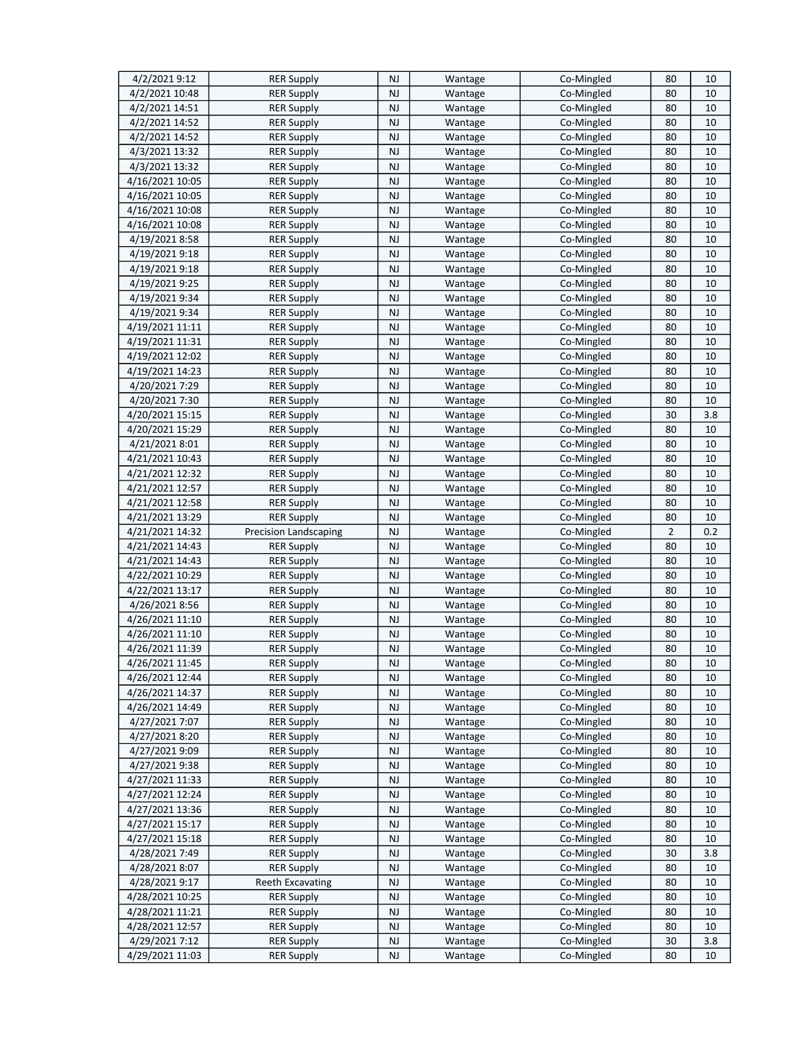| 4/2/2021 9:12   | <b>RER Supply</b>       | <b>NJ</b> | Wantage | Co-Mingled | 80             | 10  |
|-----------------|-------------------------|-----------|---------|------------|----------------|-----|
| 4/2/2021 10:48  | <b>RER Supply</b>       | NJ        | Wantage | Co-Mingled | 80             | 10  |
| 4/2/2021 14:51  | <b>RER Supply</b>       | <b>NJ</b> | Wantage | Co-Mingled | 80             | 10  |
| 4/2/2021 14:52  | <b>RER Supply</b>       | <b>NJ</b> | Wantage | Co-Mingled | 80             | 10  |
| 4/2/2021 14:52  | <b>RER Supply</b>       | <b>NJ</b> | Wantage | Co-Mingled | 80             | 10  |
| 4/3/2021 13:32  | <b>RER Supply</b>       | NJ        | Wantage | Co-Mingled | 80             | 10  |
| 4/3/2021 13:32  | <b>RER Supply</b>       | NJ        | Wantage | Co-Mingled | 80             | 10  |
| 4/16/2021 10:05 | <b>RER Supply</b>       | NJ        | Wantage | Co-Mingled | 80             | 10  |
| 4/16/2021 10:05 | <b>RER Supply</b>       | NJ        | Wantage | Co-Mingled | 80             | 10  |
| 4/16/2021 10:08 | <b>RER Supply</b>       | <b>NJ</b> | Wantage | Co-Mingled | 80             | 10  |
| 4/16/2021 10:08 | <b>RER Supply</b>       | <b>NJ</b> | Wantage | Co-Mingled | 80             | 10  |
| 4/19/2021 8:58  | <b>RER Supply</b>       | <b>NJ</b> | Wantage | Co-Mingled | 80             | 10  |
| 4/19/2021 9:18  | <b>RER Supply</b>       | NJ        | Wantage | Co-Mingled | 80             | 10  |
| 4/19/2021 9:18  | <b>RER Supply</b>       | <b>NJ</b> | Wantage | Co-Mingled | 80             | 10  |
| 4/19/2021 9:25  | <b>RER Supply</b>       | NJ        | Wantage | Co-Mingled | 80             | 10  |
| 4/19/2021 9:34  | <b>RER Supply</b>       | NJ        | Wantage | Co-Mingled | 80             | 10  |
| 4/19/2021 9:34  | <b>RER Supply</b>       | <b>NJ</b> | Wantage | Co-Mingled | 80             | 10  |
| 4/19/2021 11:11 | <b>RER Supply</b>       | <b>NJ</b> | Wantage | Co-Mingled | 80             | 10  |
| 4/19/2021 11:31 | <b>RER Supply</b>       | <b>NJ</b> | Wantage | Co-Mingled | 80             | 10  |
| 4/19/2021 12:02 | <b>RER Supply</b>       | NJ        | Wantage | Co-Mingled | 80             | 10  |
| 4/19/2021 14:23 | <b>RER Supply</b>       | <b>NJ</b> | Wantage | Co-Mingled | 80             | 10  |
| 4/20/2021 7:29  | <b>RER Supply</b>       | NJ        | Wantage | Co-Mingled | 80             | 10  |
| 4/20/2021 7:30  | <b>RER Supply</b>       | NJ        | Wantage | Co-Mingled | 80             | 10  |
| 4/20/2021 15:15 | <b>RER Supply</b>       | <b>NJ</b> | Wantage | Co-Mingled | 30             | 3.8 |
| 4/20/2021 15:29 | <b>RER Supply</b>       | <b>NJ</b> | Wantage | Co-Mingled | 80             | 10  |
| 4/21/2021 8:01  | <b>RER Supply</b>       | <b>NJ</b> | Wantage | Co-Mingled | 80             | 10  |
| 4/21/2021 10:43 | <b>RER Supply</b>       | <b>NJ</b> | Wantage | Co-Mingled | 80             | 10  |
| 4/21/2021 12:32 | <b>RER Supply</b>       | <b>NJ</b> | Wantage | Co-Mingled | 80             | 10  |
| 4/21/2021 12:57 | <b>RER Supply</b>       | NJ        | Wantage | Co-Mingled | 80             | 10  |
| 4/21/2021 12:58 | <b>RER Supply</b>       | NJ        | Wantage | Co-Mingled | 80             | 10  |
| 4/21/2021 13:29 | <b>RER Supply</b>       | NJ        | Wantage | Co-Mingled | 80             | 10  |
| 4/21/2021 14:32 | Precision Landscaping   | <b>NJ</b> | Wantage | Co-Mingled | $\overline{2}$ | 0.2 |
| 4/21/2021 14:43 | <b>RER Supply</b>       | <b>NJ</b> | Wantage | Co-Mingled | 80             | 10  |
| 4/21/2021 14:43 | <b>RER Supply</b>       | <b>NJ</b> | Wantage | Co-Mingled | 80             | 10  |
| 4/22/2021 10:29 | <b>RER Supply</b>       | <b>NJ</b> | Wantage | Co-Mingled | 80             | 10  |
| 4/22/2021 13:17 | <b>RER Supply</b>       | NJ        | Wantage | Co-Mingled | 80             | 10  |
| 4/26/2021 8:56  | <b>RER Supply</b>       | NJ        | Wantage | Co-Mingled | 80             | 10  |
| 4/26/2021 11:10 | <b>RER Supply</b>       | NJ        | Wantage | Co-Mingled | 80             | 10  |
| 4/26/2021 11:10 | <b>RER Supply</b>       | <b>NJ</b> | Wantage | Co-Mingled | 80             | 10  |
| 4/26/2021 11:39 | <b>RER Supply</b>       | <b>NJ</b> | Wantage | Co-Mingled | 80             | 10  |
| 4/26/2021 11:45 | <b>RER Supply</b>       | <b>NJ</b> | Wantage | Co-Mingled | 80             | 10  |
| 4/26/2021 12:44 | <b>RER Supply</b>       | NJ        | Wantage | Co-Mingled | 80             | 10  |
| 4/26/2021 14:37 | <b>RER Supply</b>       | NJ        | Wantage | Co-Mingled | 80             | 10  |
| 4/26/2021 14:49 | <b>RER Supply</b>       | NJ        | Wantage | Co-Mingled | 80             | 10  |
| 4/27/2021 7:07  | <b>RER Supply</b>       | <b>NJ</b> | Wantage | Co-Mingled | 80             | 10  |
| 4/27/2021 8:20  | <b>RER Supply</b>       | NJ        | Wantage | Co-Mingled | 80             | 10  |
| 4/27/2021 9:09  | <b>RER Supply</b>       | <b>NJ</b> | Wantage | Co-Mingled | 80             | 10  |
| 4/27/2021 9:38  | <b>RER Supply</b>       | <b>NJ</b> | Wantage | Co-Mingled | 80             | 10  |
| 4/27/2021 11:33 | <b>RER Supply</b>       | NJ        | Wantage | Co-Mingled | 80             | 10  |
| 4/27/2021 12:24 | <b>RER Supply</b>       | NJ        | Wantage | Co-Mingled | 80             | 10  |
| 4/27/2021 13:36 | <b>RER Supply</b>       | NJ        | Wantage | Co-Mingled | 80             | 10  |
| 4/27/2021 15:17 | <b>RER Supply</b>       | NJ        | Wantage | Co-Mingled | 80             | 10  |
| 4/27/2021 15:18 | <b>RER Supply</b>       | <b>NJ</b> | Wantage | Co-Mingled | 80             | 10  |
| 4/28/2021 7:49  | <b>RER Supply</b>       | NJ        | Wantage | Co-Mingled | 30             | 3.8 |
| 4/28/2021 8:07  | <b>RER Supply</b>       | <b>NJ</b> | Wantage | Co-Mingled | 80             | 10  |
| 4/28/2021 9:17  | <b>Reeth Excavating</b> | NJ        | Wantage | Co-Mingled | 80             | 10  |
| 4/28/2021 10:25 | <b>RER Supply</b>       | NJ        | Wantage | Co-Mingled | 80             | 10  |
| 4/28/2021 11:21 | <b>RER Supply</b>       | NJ        | Wantage | Co-Mingled | 80             | 10  |
| 4/28/2021 12:57 | <b>RER Supply</b>       | <b>NJ</b> | Wantage | Co-Mingled | 80             | 10  |
| 4/29/2021 7:12  | <b>RER Supply</b>       | NJ        | Wantage | Co-Mingled | 30             | 3.8 |
| 4/29/2021 11:03 | <b>RER Supply</b>       | NJ        | Wantage | Co-Mingled | 80             | 10  |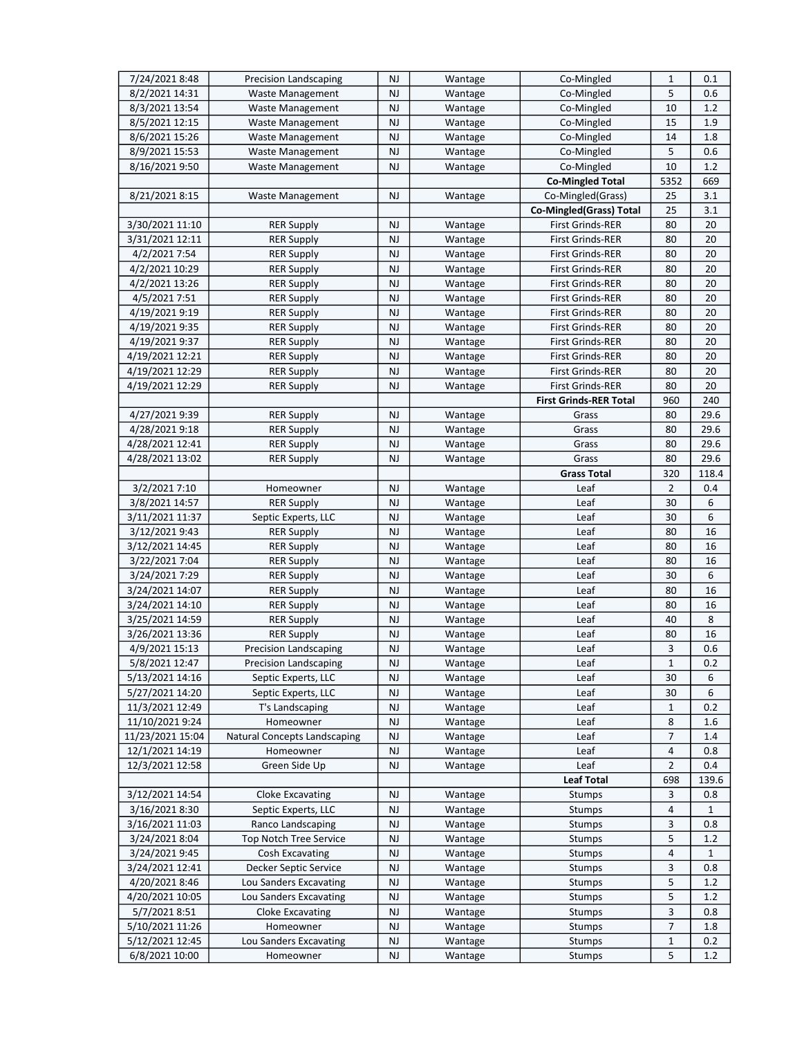| 7/24/2021 8:48                   | Precision Landscaping                      | <b>NJ</b>       | Wantage            | Co-Mingled                      | 1              | 0.1          |
|----------------------------------|--------------------------------------------|-----------------|--------------------|---------------------------------|----------------|--------------|
| 8/2/2021 14:31                   | Waste Management                           | NJ              | Wantage            | Co-Mingled                      | 5              | 0.6          |
| 8/3/2021 13:54                   | Waste Management                           | <b>NJ</b>       | Wantage            | Co-Mingled                      | 10             | 1.2          |
| 8/5/2021 12:15                   | <b>Waste Management</b>                    | <b>NJ</b>       | Wantage            | Co-Mingled                      | 15             | 1.9          |
| 8/6/2021 15:26                   | Waste Management                           | <b>NJ</b>       | Wantage            | Co-Mingled                      | 14             | 1.8          |
| 8/9/2021 15:53                   | Waste Management                           | <b>NJ</b>       | Wantage            | Co-Mingled                      | 5              | 0.6          |
| 8/16/2021 9:50                   | Waste Management                           | <b>NJ</b>       | Wantage            | Co-Mingled                      | 10             | 1.2          |
|                                  |                                            |                 |                    | <b>Co-Mingled Total</b>         | 5352           | 669          |
| 8/21/2021 8:15                   | Waste Management                           | <b>NJ</b>       | Wantage            | Co-Mingled(Grass)               | 25             | 3.1          |
|                                  |                                            |                 |                    | <b>Co-Mingled (Grass) Total</b> | 25             | 3.1          |
| 3/30/2021 11:10                  | <b>RER Supply</b>                          | <b>NJ</b>       | Wantage            | <b>First Grinds-RER</b>         | 80             | 20           |
| 3/31/2021 12:11                  | <b>RER Supply</b>                          | <b>NJ</b>       | Wantage            | <b>First Grinds-RER</b>         | 80             | 20           |
| 4/2/2021 7:54                    | <b>RER Supply</b>                          | <b>NJ</b>       | Wantage            | <b>First Grinds-RER</b>         | 80             | 20           |
| 4/2/2021 10:29                   | <b>RER Supply</b>                          | NJ              | Wantage            | <b>First Grinds-RER</b>         | 80             | 20           |
| 4/2/2021 13:26                   | <b>RER Supply</b>                          | NJ              | Wantage            | <b>First Grinds-RER</b>         | 80             | 20           |
| 4/5/2021 7:51                    | <b>RER Supply</b>                          | NJ              | Wantage            | <b>First Grinds-RER</b>         | 80             | 20           |
| 4/19/2021 9:19                   | <b>RER Supply</b>                          | NJ              | Wantage            | First Grinds-RER                | 80             | 20           |
| 4/19/2021 9:35                   | <b>RER Supply</b>                          | <b>NJ</b>       | Wantage            | <b>First Grinds-RER</b>         | 80             | 20           |
| 4/19/2021 9:37                   | <b>RER Supply</b>                          | <b>NJ</b>       | Wantage            | <b>First Grinds-RER</b>         | 80             | 20           |
| 4/19/2021 12:21                  | <b>RER Supply</b>                          | <b>NJ</b>       | Wantage            | <b>First Grinds-RER</b>         | 80             | 20           |
| 4/19/2021 12:29                  | <b>RER Supply</b>                          | <b>NJ</b>       | Wantage            | <b>First Grinds-RER</b>         | 80             | 20           |
| 4/19/2021 12:29                  | <b>RER Supply</b>                          | <b>NJ</b>       | Wantage            | <b>First Grinds-RER</b>         | 80             | 20           |
|                                  |                                            |                 |                    | <b>First Grinds-RER Total</b>   | 960            | 240          |
| 4/27/2021 9:39                   | <b>RER Supply</b>                          | NJ              | Wantage            | Grass                           | 80             | 29.6         |
| 4/28/2021 9:18                   | <b>RER Supply</b>                          | <b>NJ</b>       | Wantage            | Grass                           | 80             | 29.6         |
| 4/28/2021 12:41                  | <b>RER Supply</b>                          | <b>NJ</b>       | Wantage            | Grass                           | 80             | 29.6         |
| 4/28/2021 13:02                  | <b>RER Supply</b>                          | <b>NJ</b>       | Wantage            | Grass                           | 80             | 29.6         |
|                                  |                                            |                 |                    | <b>Grass Total</b>              | 320            | 118.4        |
| 3/2/2021 7:10                    | Homeowner                                  | <b>NJ</b>       | Wantage            | Leaf                            | $\overline{2}$ | 0.4          |
| 3/8/2021 14:57                   | <b>RER Supply</b>                          | NJ              | Wantage            | Leaf                            | 30             | 6            |
| 3/11/2021 11:37                  | Septic Experts, LLC                        | NJ              | Wantage            | Leaf                            | 30             | 6            |
| 3/12/2021 9:43                   | <b>RER Supply</b>                          | <b>NJ</b>       | Wantage            | Leaf                            | 80             | 16           |
| 3/12/2021 14:45                  | <b>RER Supply</b>                          | <b>NJ</b>       | Wantage            | Leaf                            | 80             | 16           |
| 3/22/2021 7:04                   | <b>RER Supply</b>                          | <b>NJ</b>       | Wantage            | Leaf                            | 80             | 16           |
| 3/24/2021 7:29                   | <b>RER Supply</b>                          | NJ              | Wantage            | Leaf                            | 30             | 6            |
| 3/24/2021 14:07                  | <b>RER Supply</b>                          | <b>NJ</b>       | Wantage            | Leaf                            | 80             | 16           |
| 3/24/2021 14:10                  | <b>RER Supply</b>                          | NJ              | Wantage            | Leaf                            | 80             | 16           |
| 3/25/2021 14:59                  | <b>RER Supply</b>                          | <b>NJ</b>       | Wantage            | Leaf                            | 40             | 8            |
| 3/26/2021 13:36                  | <b>RER Supply</b>                          | <b>NJ</b>       | Wantage            | Leaf                            | 80             | 16           |
| 4/9/2021 15:13                   | <b>Precision Landscaping</b>               | <b>NJ</b>       | Wantage            | Leaf                            | 3              | 0.6          |
| 5/8/2021 12:47                   | Precision Landscaping                      | NJ              | Wantage            | Leaf                            | 1              | 0.2          |
| 5/13/2021 14:16                  | Septic Experts, LLC                        | NJ              | Wantage            | Leaf                            | 30             | 6            |
| 5/27/2021 14:20                  | Septic Experts, LLC                        | NJ              | Wantage            | Leaf                            | 30             | 6            |
| 11/3/2021 12:49                  | T's Landscaping                            | NJ              | Wantage            | Leaf                            | 1              | 0.2          |
| 11/10/2021 9:24                  | Homeowner                                  | NJ              | Wantage            | Leaf                            | 8              | 1.6          |
| 11/23/2021 15:04                 | Natural Concepts Landscaping               | <b>NJ</b>       | Wantage            | Leaf                            | 7              | 1.4          |
| 12/1/2021 14:19                  | Homeowner                                  | <b>NJ</b>       | Wantage            | Leaf                            | 4              | 0.8          |
| 12/3/2021 12:58                  | Green Side Up                              | <b>NJ</b>       | Wantage            | Leaf                            | $\overline{2}$ | 0.4          |
|                                  |                                            |                 |                    | <b>Leaf Total</b>               | 698            | 139.6        |
| 3/12/2021 14:54                  | Cloke Excavating                           | <b>NJ</b>       | Wantage            | <b>Stumps</b>                   | 3              | 0.8          |
| 3/16/2021 8:30                   | Septic Experts, LLC                        | NJ              | Wantage            | <b>Stumps</b>                   | 4              | 1            |
| 3/16/2021 11:03                  | Ranco Landscaping                          | NJ              | Wantage            | Stumps                          | 3              | 0.8          |
| 3/24/2021 8:04                   | <b>Top Notch Tree Service</b>              | NJ              | Wantage            | Stumps                          | 5<br>4         | 1.2          |
| 3/24/2021 9:45                   | Cosh Excavating                            | <b>NJ</b>       | Wantage            | Stumps                          |                | $\mathbf{1}$ |
| 3/24/2021 12:41                  | Decker Septic Service                      | <b>NJ</b>       | Wantage            | Stumps                          | 3<br>5         | 0.8          |
| 4/20/2021 8:46                   | Lou Sanders Excavating                     | <b>NJ</b>       | Wantage            | Stumps                          | 5              | 1.2          |
| 4/20/2021 10:05<br>5/7/2021 8:51 | Lou Sanders Excavating<br>Cloke Excavating | <b>NJ</b><br>NJ | Wantage<br>Wantage | Stumps                          | 3              | 1.2<br>0.8   |
| 5/10/2021 11:26                  | Homeowner                                  | NJ              | Wantage            | Stumps<br>Stumps                | $\overline{7}$ | 1.8          |
| 5/12/2021 12:45                  | Lou Sanders Excavating                     | NJ              | Wantage            | Stumps                          | 1              | 0.2          |
| 6/8/2021 10:00                   | Homeowner                                  | NJ              | Wantage            | Stumps                          | 5              | 1.2          |
|                                  |                                            |                 |                    |                                 |                |              |